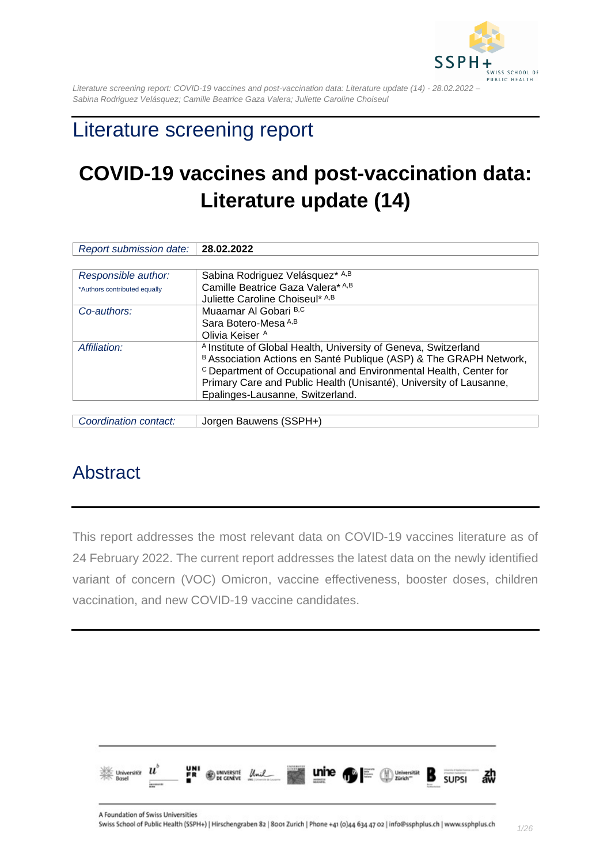

# Literature screening report

# **COVID-19 vaccines and post-vaccination data: Literature update (14)**

| Report submission date:      | 28.02.2022                                                                   |
|------------------------------|------------------------------------------------------------------------------|
|                              |                                                                              |
| Responsible author:          | Sabina Rodriguez Velásquez* A,B                                              |
| *Authors contributed equally | Camille Beatrice Gaza Valera* A,B                                            |
|                              | Juliette Caroline Choiseul* A,B                                              |
| Co-authors:                  | Muaamar Al Gobari B,C                                                        |
|                              | Sara Botero-Mesa A,B                                                         |
|                              | Olivia Keiser A                                                              |
| Affiliation:                 | <sup>A</sup> Institute of Global Health, University of Geneva, Switzerland   |
|                              | B Association Actions en Santé Publique (ASP) & The GRAPH Network,           |
|                              | <sup>c</sup> Department of Occupational and Environmental Health, Center for |
|                              | Primary Care and Public Health (Unisanté), University of Lausanne,           |
|                              | Epalinges-Lausanne, Switzerland.                                             |
|                              |                                                                              |
|                              |                                                                              |

| Coordination contact: | Jorgen Bauwens (SSPH+) |  |
|-----------------------|------------------------|--|
|                       |                        |  |

## <span id="page-0-0"></span>Abstract

This report addresses the most relevant data on COVID-19 vaccines literature as of 24 February 2022. The current report addresses the latest data on the newly identified variant of concern (VOC) Omicron, vaccine effectiveness, booster doses, children vaccination, and new COVID-19 vaccine candidates.

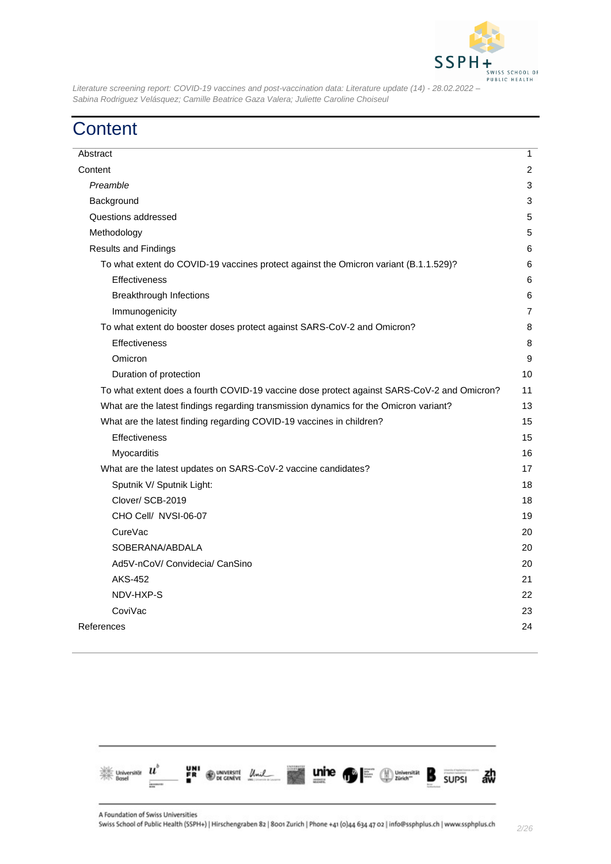

# <span id="page-1-0"></span>**Content**

| Abstract                                                                                   | $\mathbf{1}$   |
|--------------------------------------------------------------------------------------------|----------------|
| Content                                                                                    |                |
| Preamble                                                                                   |                |
| Background                                                                                 | 3              |
| Questions addressed                                                                        | 5              |
| Methodology                                                                                | 5              |
| <b>Results and Findings</b>                                                                | 6              |
| To what extent do COVID-19 vaccines protect against the Omicron variant (B.1.1.529)?       | 6              |
| <b>Effectiveness</b>                                                                       | 6              |
| <b>Breakthrough Infections</b>                                                             | 6              |
| Immunogenicity                                                                             | $\overline{7}$ |
| To what extent do booster doses protect against SARS-CoV-2 and Omicron?                    |                |
| Effectiveness                                                                              | 8              |
| Omicron                                                                                    | 9              |
| Duration of protection                                                                     |                |
| To what extent does a fourth COVID-19 vaccine dose protect against SARS-CoV-2 and Omicron? |                |
| What are the latest findings regarding transmission dynamics for the Omicron variant?      |                |
| What are the latest finding regarding COVID-19 vaccines in children?                       |                |
| Effectiveness                                                                              |                |
| Myocarditis                                                                                | 16             |
| What are the latest updates on SARS-CoV-2 vaccine candidates?                              |                |
| Sputnik V/ Sputnik Light:                                                                  |                |
| Clover/SCB-2019                                                                            |                |
| CHO Cell/ NVSI-06-07                                                                       |                |
| CureVac                                                                                    | 20             |
| SOBERANA/ABDALA                                                                            |                |
| Ad5V-nCoV/ Convidecia/ CanSino                                                             |                |
| <b>AKS-452</b>                                                                             | 21             |
| NDV-HXP-S                                                                                  | 22             |
| CoviVac                                                                                    | 23             |
| References                                                                                 |                |
|                                                                                            |                |

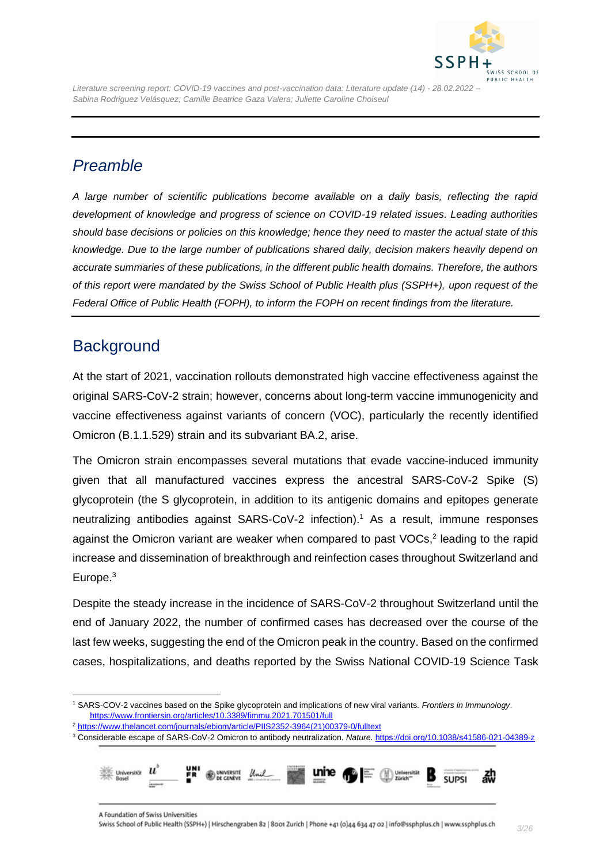

## <span id="page-2-0"></span>*Preamble*

*A large number of scientific publications become available on a daily basis, reflecting the rapid development of knowledge and progress of science on COVID-19 related issues. Leading authorities should base decisions or policies on this knowledge; hence they need to master the actual state of this knowledge. Due to the large number of publications shared daily, decision makers heavily depend on accurate summaries of these publications, in the different public health domains. Therefore, the authors of this report were mandated by the Swiss School of Public Health plus (SSPH+), upon request of the Federal Office of Public Health (FOPH), to inform the FOPH on recent findings from the literature.*

### <span id="page-2-1"></span>**Background**

At the start of 2021, vaccination rollouts demonstrated high vaccine effectiveness against the original SARS-CoV-2 strain; however, concerns about long-term vaccine immunogenicity and vaccine effectiveness against variants of concern (VOC), particularly the recently identified Omicron (B.1.1.529) strain and its subvariant BA.2, arise.

The Omicron strain encompasses several mutations that evade vaccine-induced immunity given that all manufactured vaccines express the ancestral SARS-CoV-2 Spike (S) glycoprotein (the S glycoprotein, in addition to its antigenic domains and epitopes generate neutralizing antibodies against SARS-CoV-2 infection). <sup>1</sup> As a result, immune responses against the Omicron variant are weaker when compared to past VOCs, 2 leading to the rapid increase and dissemination of breakthrough and reinfection cases throughout Switzerland and Europe.<sup>3</sup>

Despite the steady increase in the incidence of SARS-CoV-2 throughout Switzerland until the end of January 2022, the number of confirmed cases has decreased over the course of the last few weeks, suggesting the end of the Omicron peak in the country. Based on the confirmed cases, hospitalizations, and deaths reported by the Swiss National COVID-19 Science Task

<sup>3</sup> Considerable escape of SARS-CoV-2 Omicron to antibody neutralization. *Nature.* <https://doi.org/10.1038/s41586-021-04389-z>



<sup>1</sup> SARS-COV-2 vaccines based on the Spike glycoprotein and implications of new viral variants. *Frontiers in Immunology*. <https://www.frontiersin.org/articles/10.3389/fimmu.2021.701501/full>

<sup>2</sup> [https://www.thelancet.com/journals/ebiom/article/PIIS2352-3964\(21\)00379-0/fulltext](https://www.thelancet.com/journals/ebiom/article/PIIS2352-3964(21)00379-0/fulltext)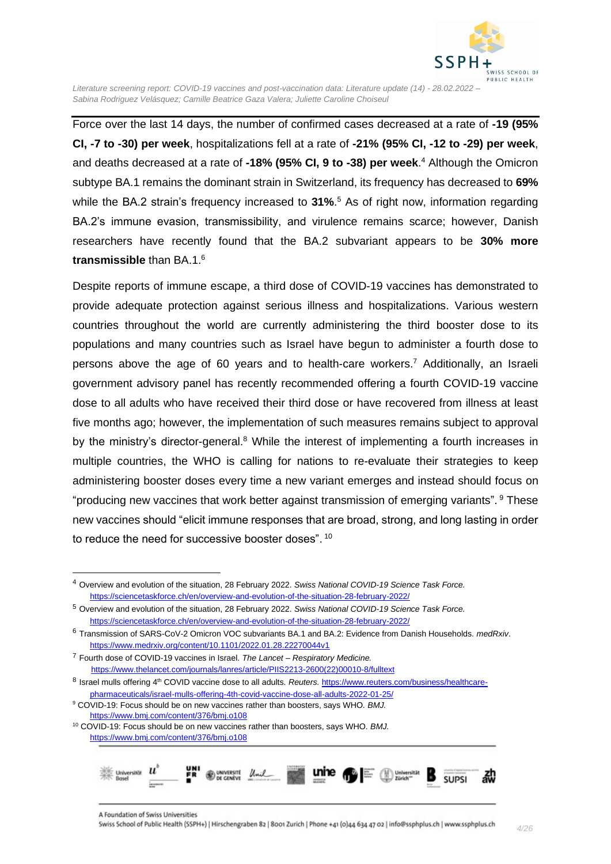

Force over the last 14 days, the number of confirmed cases decreased at a rate of **-19 (95% CI, -7 to -30) per week**, hospitalizations fell at a rate of **-21% (95% CI, -12 to -29) per week**, and deaths decreased at a rate of **-18% (95% CI, 9 to -38) per week**. <sup>4</sup> Although the Omicron subtype BA.1 remains the dominant strain in Switzerland, its frequency has decreased to **69%**  while the BA.2 strain's frequency increased to **31%**. <sup>5</sup> As of right now, information regarding BA.2's immune evasion, transmissibility, and virulence remains scarce; however, Danish researchers have recently found that the BA.2 subvariant appears to be **30% more transmissible** than BA.1. 6

Despite reports of immune escape, a third dose of COVID-19 vaccines has demonstrated to provide adequate protection against serious illness and hospitalizations. Various western countries throughout the world are currently administering the third booster dose to its populations and many countries such as Israel have begun to administer a fourth dose to persons above the age of 60 years and to health-care workers.<sup>7</sup> Additionally, an Israeli government advisory panel has recently recommended offering a fourth COVID-19 vaccine dose to all adults who have received their third dose or have recovered from illness at least five months ago; however, the implementation of such measures remains subject to approval by the ministry's director-general.<sup>8</sup> While the interest of implementing a fourth increases in multiple countries, the WHO is calling for nations to re-evaluate their strategies to keep administering booster doses every time a new variant emerges and instead should focus on "producing new vaccines that work better against transmission of emerging variants". <sup>9</sup> These new vaccines should "elicit immune responses that are broad, strong, and long lasting in order to reduce the need for successive booster doses".  $^{10}$ 

<sup>10</sup> COVID-19: Focus should be on new vaccines rather than boosters, says WHO. *BMJ.*  <https://www.bmj.com/content/376/bmj.o108>



<sup>4</sup> Overview and evolution of the situation, 28 February 2022. *Swiss National COVID-19 Science Task Force.* <https://sciencetaskforce.ch/en/overview-and-evolution-of-the-situation-28-february-2022/>

<sup>5</sup> Overview and evolution of the situation, 28 February 2022. *Swiss National COVID-19 Science Task Force.* <https://sciencetaskforce.ch/en/overview-and-evolution-of-the-situation-28-february-2022/>

<sup>6</sup> Transmission of SARS-CoV-2 Omicron VOC subvariants BA.1 and BA.2: Evidence from Danish Households. *medRxiv*. <https://www.medrxiv.org/content/10.1101/2022.01.28.22270044v1>

<sup>7</sup> Fourth dose of COVID-19 vaccines in Israel. *The Lancet – Respiratory Medicine.*  [https://www.thelancet.com/journals/lanres/article/PIIS2213-2600\(22\)00010-8/fulltext](https://www.thelancet.com/journals/lanres/article/PIIS2213-2600(22)00010-8/fulltext)

<sup>8</sup> Israel mulls offering 4<sup>th</sup> COVID vaccine dose to all adults. *Reuters.* [https://www.reuters.com/business/healthcare](https://www.reuters.com/business/healthcare-pharmaceuticals/israel-mulls-offering-4th-covid-vaccine-dose-all-adults-2022-01-25/)[pharmaceuticals/israel-mulls-offering-4th-covid-vaccine-dose-all-adults-2022-01-25/](https://www.reuters.com/business/healthcare-pharmaceuticals/israel-mulls-offering-4th-covid-vaccine-dose-all-adults-2022-01-25/)

<sup>9</sup> COVID-19: Focus should be on new vaccines rather than boosters, says WHO. *BMJ.*  <https://www.bmj.com/content/376/bmj.o108>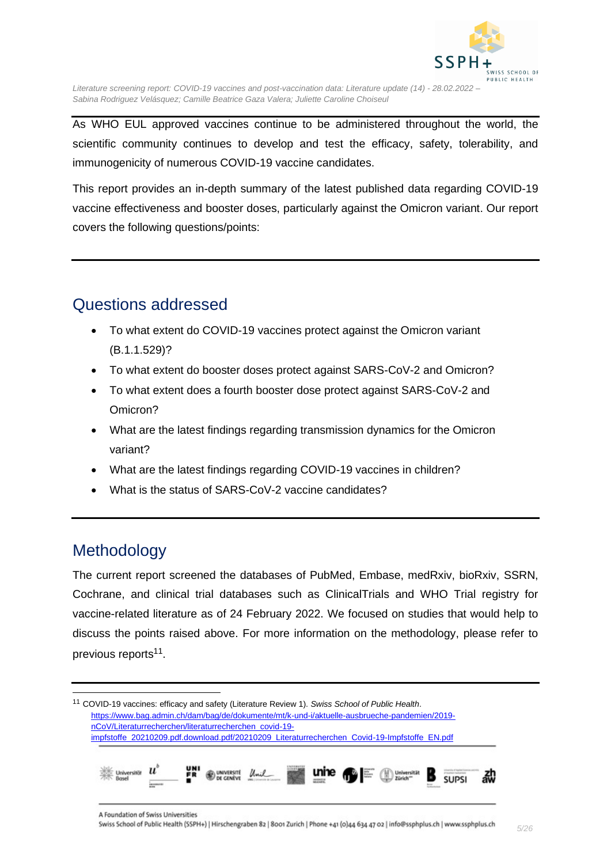

As WHO EUL approved vaccines continue to be administered throughout the world, the scientific community continues to develop and test the efficacy, safety, tolerability, and immunogenicity of numerous COVID-19 vaccine candidates.

This report provides an in-depth summary of the latest published data regarding COVID-19 vaccine effectiveness and booster doses, particularly against the Omicron variant. Our report covers the following questions/points:

## <span id="page-4-0"></span>Questions addressed

- To what extent do COVID-19 vaccines protect against the Omicron variant (B.1.1.529)?
- To what extent do booster doses protect against SARS-CoV-2 and Omicron?
- To what extent does a fourth booster dose protect against SARS-CoV-2 and Omicron?
- What are the latest findings regarding transmission dynamics for the Omicron variant?
- What are the latest findings regarding COVID-19 vaccines in children?
- What is the status of SARS-CoV-2 vaccine candidates?

## <span id="page-4-1"></span>Methodology

The current report screened the databases of PubMed, Embase, medRxiv, bioRxiv, SSRN, Cochrane, and clinical trial databases such as ClinicalTrials and WHO Trial registry for vaccine-related literature as of 24 February 2022. We focused on studies that would help to discuss the points raised above. For more information on the methodology, please refer to previous reports<sup>11</sup>.

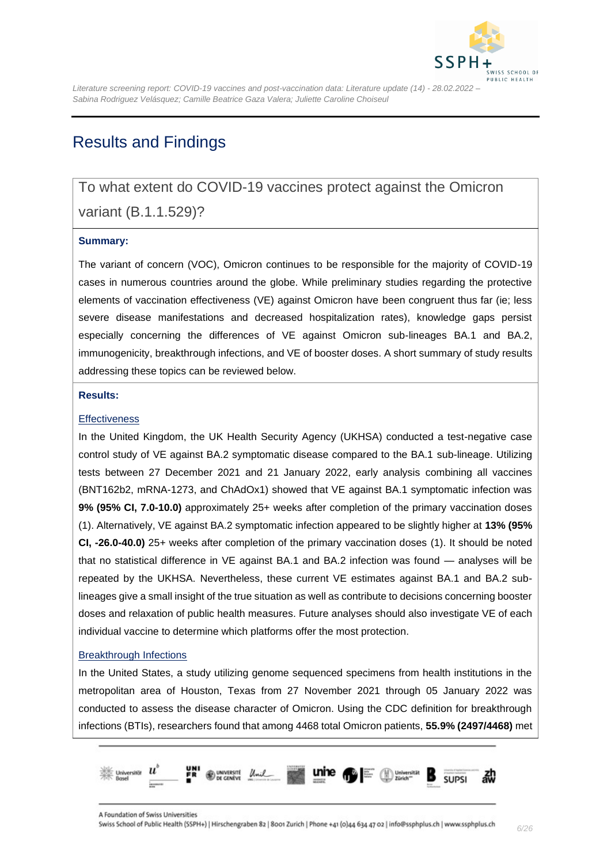

### <span id="page-5-0"></span>Results and Findings

### <span id="page-5-1"></span>To what extent do COVID-19 vaccines protect against the Omicron

### variant (B.1.1.529)?

#### **Summary:**

The variant of concern (VOC), Omicron continues to be responsible for the majority of COVID-19 cases in numerous countries around the globe. While preliminary studies regarding the protective elements of vaccination effectiveness (VE) against Omicron have been congruent thus far (ie; less severe disease manifestations and decreased hospitalization rates), knowledge gaps persist especially concerning the differences of VE against Omicron sub-lineages BA.1 and BA.2, immunogenicity, breakthrough infections, and VE of booster doses. A short summary of study results addressing these topics can be reviewed below.

#### **Results:**

#### <span id="page-5-2"></span>**Effectiveness**

In the United Kingdom, the UK Health Security Agency (UKHSA) conducted a test-negative case control study of VE against BA.2 symptomatic disease compared to the BA.1 sub-lineage. Utilizing tests between 27 December 2021 and 21 January 2022, early analysis combining all vaccines (BNT162b2, mRNA-1273, and ChAdOx1) showed that VE against BA.1 symptomatic infection was **9% (95% CI, 7.0-10.0)** approximately 25+ weeks after completion of the primary vaccination doses [\(1\)](#page-23-1). Alternatively, VE against BA.2 symptomatic infection appeared to be slightly higher at **13% (95% CI, -26.0-40.0)** 25+ weeks after completion of the primary vaccination doses [\(1\)](#page-23-1). It should be noted that no statistical difference in VE against BA.1 and BA.2 infection was found — analyses will be repeated by the UKHSA. Nevertheless, these current VE estimates against BA.1 and BA.2 sublineages give a small insight of the true situation as well as contribute to decisions concerning booster doses and relaxation of public health measures. Future analyses should also investigate VE of each individual vaccine to determine which platforms offer the most protection.

#### <span id="page-5-3"></span>Breakthrough Infections

In the United States, a study utilizing genome sequenced specimens from health institutions in the metropolitan area of Houston, Texas from 27 November 2021 through 05 January 2022 was conducted to assess the disease character of Omicron. Using the CDC definition for breakthrough infections (BTIs), researchers found that among 4468 total Omicron patients, **55.9% (2497/4468)** met

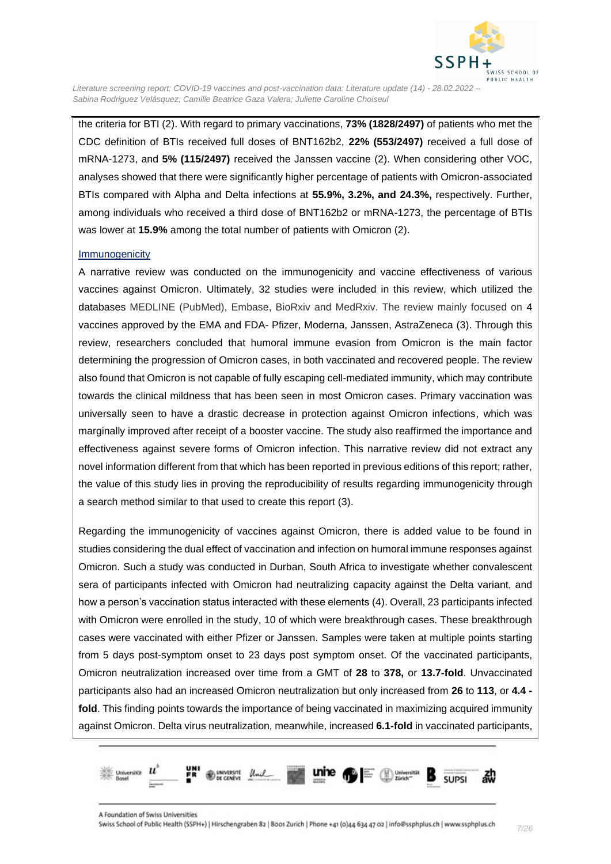

the criteria for BTI [\(2\)](#page-23-2). With regard to primary vaccinations, **73% (1828/2497)** of patients who met the CDC definition of BTIs received full doses of BNT162b2, **22% (553/2497)** received a full dose of mRNA-1273, and **5% (115/2497)** received the Janssen vaccine [\(2\)](#page-23-2). When considering other VOC, analyses showed that there were significantly higher percentage of patients with Omicron-associated BTIs compared with Alpha and Delta infections at **55.9%, 3.2%, and 24.3%,** respectively. Further, among individuals who received a third dose of BNT162b2 or mRNA-1273, the percentage of BTIs was lower at **15.9%** among the total number of patients with Omicron [\(2\)](#page-23-2).

#### <span id="page-6-0"></span>Immunogenicity

A narrative review was conducted on the immunogenicity and vaccine effectiveness of various vaccines against Omicron. Ultimately, 32 studies were included in this review, which utilized the databases MEDLINE (PubMed), Embase, BioRxiv and MedRxiv. The review mainly focused on 4 vaccines approved by the EMA and FDA- Pfizer, Moderna, Janssen, AstraZeneca [\(3\)](#page-23-3). Through this review, researchers concluded that humoral immune evasion from Omicron is the main factor determining the progression of Omicron cases, in both vaccinated and recovered people. The review also found that Omicron is not capable of fully escaping cell-mediated immunity, which may contribute towards the clinical mildness that has been seen in most Omicron cases. Primary vaccination was universally seen to have a drastic decrease in protection against Omicron infections, which was marginally improved after receipt of a booster vaccine. The study also reaffirmed the importance and effectiveness against severe forms of Omicron infection. This narrative review did not extract any novel information different from that which has been reported in previous editions of this report; rather, the value of this study lies in proving the reproducibility of results regarding immunogenicity through a search method similar to that used to create this report [\(3\)](#page-23-3).

Regarding the immunogenicity of vaccines against Omicron, there is added value to be found in studies considering the dual effect of vaccination and infection on humoral immune responses against Omicron. Such a study was conducted in Durban, South Africa to investigate whether convalescent sera of participants infected with Omicron had neutralizing capacity against the Delta variant, and how a person's vaccination status interacted with these elements [\(4\)](#page-23-4). Overall, 23 participants infected with Omicron were enrolled in the study, 10 of which were breakthrough cases. These breakthrough cases were vaccinated with either Pfizer or Janssen. Samples were taken at multiple points starting from 5 days post-symptom onset to 23 days post symptom onset. Of the vaccinated participants, Omicron neutralization increased over time from a GMT of **28** to **378,** or **13.7-fold**. Unvaccinated participants also had an increased Omicron neutralization but only increased from **26** to **113**, or **4.4 fold**. This finding points towards the importance of being vaccinated in maximizing acquired immunity against Omicron. Delta virus neutralization, meanwhile, increased **6.1-fold** in vaccinated participants,

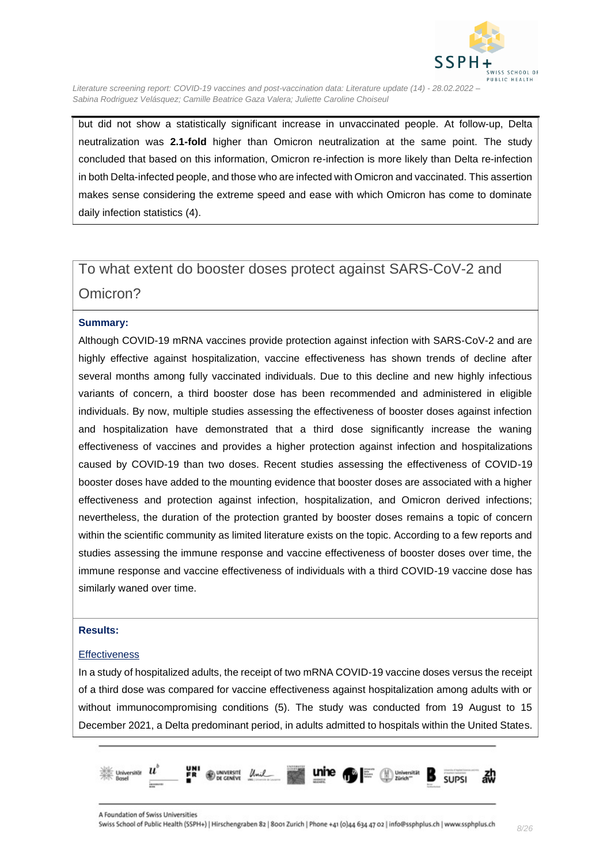

but did not show a statistically significant increase in unvaccinated people. At follow-up, Delta neutralization was **2.1-fold** higher than Omicron neutralization at the same point. The study concluded that based on this information, Omicron re-infection is more likely than Delta re-infection in both Delta-infected people, and those who are infected with Omicron and vaccinated. This assertion makes sense considering the extreme speed and ease with which Omicron has come to dominate daily infection statistics [\(4\)](#page-23-4).

## <span id="page-7-0"></span>To what extent do booster doses protect against SARS-CoV-2 and Omicron?

#### **Summary:**

Although COVID-19 mRNA vaccines provide protection against infection with SARS-CoV-2 and are highly effective against hospitalization, vaccine effectiveness has shown trends of decline after several months among fully vaccinated individuals. Due to this decline and new highly infectious variants of concern, a third booster dose has been recommended and administered in eligible individuals. By now, multiple studies assessing the effectiveness of booster doses against infection and hospitalization have demonstrated that a third dose significantly increase the waning effectiveness of vaccines and provides a higher protection against infection and hospitalizations caused by COVID-19 than two doses. Recent studies assessing the effectiveness of COVID-19 booster doses have added to the mounting evidence that booster doses are associated with a higher effectiveness and protection against infection, hospitalization, and Omicron derived infections; nevertheless, the duration of the protection granted by booster doses remains a topic of concern within the scientific community as limited literature exists on the topic. According to a few reports and studies assessing the immune response and vaccine effectiveness of booster doses over time, the immune response and vaccine effectiveness of individuals with a third COVID-19 vaccine dose has similarly waned over time.

#### **Results:**

#### <span id="page-7-1"></span>**Effectiveness**

In a study of hospitalized adults, the receipt of two mRNA COVID-19 vaccine doses versus the receipt of a third dose was compared for vaccine effectiveness against hospitalization among adults with or without immunocompromising conditions [\(5\)](#page-23-5). The study was conducted from 19 August to 15 December 2021, a Delta predominant period, in adults admitted to hospitals within the United States.

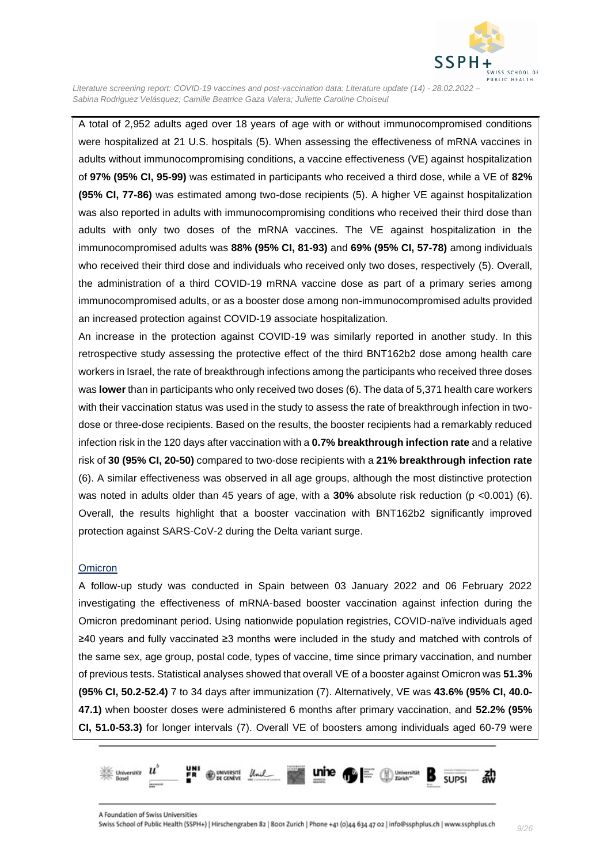

A total of 2,952 adults aged over 18 years of age with or without immunocompromised conditions were hospitalized at 21 U.S. hospitals [\(5\)](#page-23-5). When assessing the effectiveness of mRNA vaccines in adults without immunocompromising conditions, a vaccine effectiveness (VE) against hospitalization of **97% (95% CI, 95-99)** was estimated in participants who received a third dose, while a VE of **82% (95% CI, 77-86)** was estimated among two-dose recipients [\(5\)](#page-23-5). A higher VE against hospitalization was also reported in adults with immunocompromising conditions who received their third dose than adults with only two doses of the mRNA vaccines. The VE against hospitalization in the immunocompromised adults was **88% (95% CI, 81-93)** and **69% (95% CI, 57-78)** among individuals who received their third dose and individuals who received only two doses, respectively [\(5\)](#page-23-5). Overall, the administration of a third COVID-19 mRNA vaccine dose as part of a primary series among immunocompromised adults, or as a booster dose among non-immunocompromised adults provided an increased protection against COVID-19 associate hospitalization.

An increase in the protection against COVID-19 was similarly reported in another study. In this retrospective study assessing the protective effect of the third BNT162b2 dose among health care workers in Israel, the rate of breakthrough infections among the participants who received three doses was **lower** than in participants who only received two doses [\(6\)](#page-23-6). The data of 5,371 health care workers with their vaccination status was used in the study to assess the rate of breakthrough infection in twodose or three-dose recipients. Based on the results, the booster recipients had a remarkably reduced infection risk in the 120 days after vaccination with a **0.7% breakthrough infection rate** and a relative risk of **30 (95% CI, 20-50)** compared to two-dose recipients with a **21% breakthrough infection rate** [\(6\)](#page-23-6). A similar effectiveness was observed in all age groups, although the most distinctive protection was noted in adults older than 45 years of age, with a **30%** absolute risk reduction (p <0.001) [\(6\)](#page-23-6). Overall, the results highlight that a booster vaccination with BNT162b2 significantly improved protection against SARS-CoV-2 during the Delta variant surge.

#### <span id="page-8-0"></span>**Omicron**

A follow-up study was conducted in Spain between 03 January 2022 and 06 February 2022 investigating the effectiveness of mRNA-based booster vaccination against infection during the Omicron predominant period. Using nationwide population registries, COVID-naïve individuals aged ≥40 years and fully vaccinated ≥3 months were included in the study and matched with controls of the same sex, age group, postal code, types of vaccine, time since primary vaccination, and number of previous tests. Statistical analyses showed that overall VE of a booster against Omicron was **51.3% (95% CI, 50.2-52.4)** 7 to 34 days after immunization [\(7\)](#page-23-7). Alternatively, VE was **43.6% (95% CI, 40.0- 47.1)** when booster doses were administered 6 months after primary vaccination, and **52.2% (95% CI, 51.0-53.3)** for longer intervals [\(7\)](#page-23-7). Overall VE of boosters among individuals aged 60-79 were

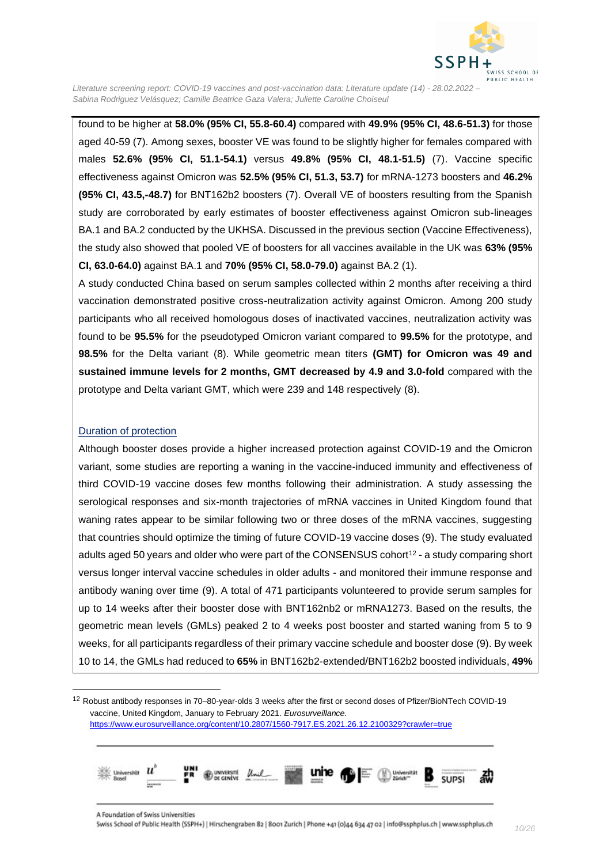

found to be higher at **58.0% (95% CI, 55.8-60.4)** compared with **49.9% (95% CI, 48.6-51.3)** for those aged 40-59 [\(7\)](#page-23-7). Among sexes, booster VE was found to be slightly higher for females compared with males **52.6% (95% CI, 51.1-54.1)** versus **49.8% (95% CI, 48.1-51.5)** [\(7\)](#page-23-7). Vaccine specific effectiveness against Omicron was **52.5% (95% CI, 51.3, 53.7)** for mRNA-1273 boosters and **46.2% (95% CI, 43.5,-48.7)** for BNT162b2 boosters [\(7\)](#page-23-7). Overall VE of boosters resulting from the Spanish study are corroborated by early estimates of booster effectiveness against Omicron sub-lineages BA.1 and BA.2 conducted by the UKHSA. Discussed in the previous section (Vaccine Effectiveness), the study also showed that pooled VE of boosters for all vaccines available in the UK was **63% (95% CI, 63.0-64.0)** against BA.1 and **70% (95% CI, 58.0-79.0)** against BA.2 [\(1\)](#page-23-1).

A study conducted China based on serum samples collected within 2 months after receiving a third vaccination demonstrated positive cross-neutralization activity against Omicron. Among 200 study participants who all received homologous doses of inactivated vaccines, neutralization activity was found to be **95.5%** for the pseudotyped Omicron variant compared to **99.5%** for the prototype, and **98.5%** for the Delta variant [\(8\)](#page-23-8). While geometric mean titers **(GMT) for Omicron was 49 and sustained immune levels for 2 months, GMT decreased by 4.9 and 3.0-fold** compared with the prototype and Delta variant GMT, which were 239 and 148 respectively [\(8\)](#page-23-8).

#### <span id="page-9-0"></span>Duration of protection

Although booster doses provide a higher increased protection against COVID-19 and the Omicron variant, some studies are reporting a waning in the vaccine-induced immunity and effectiveness of third COVID-19 vaccine doses few months following their administration. A study assessing the serological responses and six-month trajectories of mRNA vaccines in United Kingdom found that waning rates appear to be similar following two or three doses of the mRNA vaccines, suggesting that countries should optimize the timing of future COVID-19 vaccine doses [\(9\)](#page-23-9). The study evaluated adults aged 50 years and older who were part of the CONSENSUS cohort<sup>12</sup> - a study comparing short versus longer interval vaccine schedules in older adults - and monitored their immune response and antibody waning over time [\(9\)](#page-23-9). A total of 471 participants volunteered to provide serum samples for up to 14 weeks after their booster dose with BNT162nb2 or mRNA1273. Based on the results, the geometric mean levels (GMLs) peaked 2 to 4 weeks post booster and started waning from 5 to 9 weeks, for all participants regardless of their primary vaccine schedule and booster dose [\(9\)](#page-23-9). By week 10 to 14, the GMLs had reduced to **65%** in BNT162b2-extended/BNT162b2 boosted individuals, **49%**

<sup>&</sup>lt;sup>12</sup> Robust antibody responses in 70–80-year-olds 3 weeks after the first or second doses of Pfizer/BioNTech COVID-19 vaccine, United Kingdom, January to February 2021. *Eurosurveillance.*  <https://www.eurosurveillance.org/content/10.2807/1560-7917.ES.2021.26.12.2100329?crawler=true>

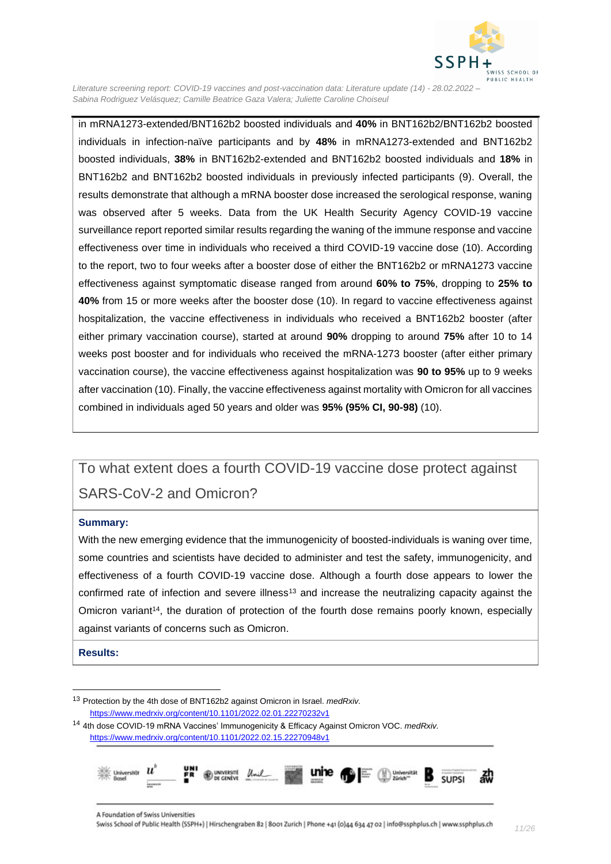

in mRNA1273-extended/BNT162b2 boosted individuals and **40%** in BNT162b2/BNT162b2 boosted individuals in infection-naïve participants and by **48%** in mRNA1273-extended and BNT162b2 boosted individuals, **38%** in BNT162b2-extended and BNT162b2 boosted individuals and **18%** in BNT162b2 and BNT162b2 boosted individuals in previously infected participants [\(9\)](#page-23-9). Overall, the results demonstrate that although a mRNA booster dose increased the serological response, waning was observed after 5 weeks. Data from the UK Health Security Agency COVID-19 vaccine surveillance report reported similar results regarding the waning of the immune response and vaccine effectiveness over time in individuals who received a third COVID-19 vaccine dose [\(10\)](#page-23-10). According to the report, two to four weeks after a booster dose of either the BNT162b2 or mRNA1273 vaccine effectiveness against symptomatic disease ranged from around **60% to 75%**, dropping to **25% to 40%** from 15 or more weeks after the booster dose [\(10\)](#page-23-10). In regard to vaccine effectiveness against hospitalization, the vaccine effectiveness in individuals who received a BNT162b2 booster (after either primary vaccination course), started at around **90%** dropping to around **75%** after 10 to 14 weeks post booster and for individuals who received the mRNA-1273 booster (after either primary vaccination course), the vaccine effectiveness against hospitalization was **90 to 95%** up to 9 weeks after vaccination [\(10\)](#page-23-10). Finally, the vaccine effectiveness against mortality with Omicron for all vaccines combined in individuals aged 50 years and older was **95% (95% CI, 90-98)** [\(10\)](#page-23-10).

## <span id="page-10-0"></span>To what extent does a fourth COVID-19 vaccine dose protect against SARS-CoV-2 and Omicron?

#### **Summary:**

With the new emerging evidence that the immunogenicity of boosted-individuals is waning over time, some countries and scientists have decided to administer and test the safety, immunogenicity, and effectiveness of a fourth COVID-19 vaccine dose. Although a fourth dose appears to lower the confirmed rate of infection and severe illness<sup>13</sup> and increase the neutralizing capacity against the Omicron variant<sup>14</sup>, the duration of protection of the fourth dose remains poorly known, especially against variants of concerns such as Omicron.

**Results:**

<sup>14</sup> 4th dose COVID-19 mRNA Vaccines' Immunogenicity & Efficacy Against Omicron VOC. *medRxiv.*  <https://www.medrxiv.org/content/10.1101/2022.02.15.22270948v1>



<sup>13</sup> Protection by the 4th dose of BNT162b2 against Omicron in Israel. *medRxiv.*  <https://www.medrxiv.org/content/10.1101/2022.02.01.22270232v1>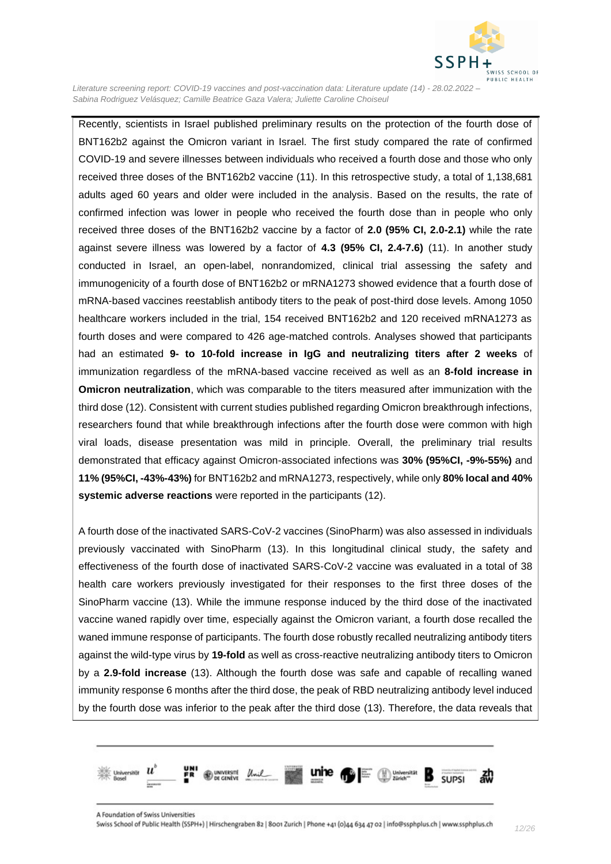

Recently, scientists in Israel published preliminary results on the protection of the fourth dose of BNT162b2 against the Omicron variant in Israel. The first study compared the rate of confirmed COVID-19 and severe illnesses between individuals who received a fourth dose and those who only received three doses of the BNT162b2 vaccine [\(11\)](#page-23-11). In this retrospective study, a total of 1,138,681 adults aged 60 years and older were included in the analysis. Based on the results, the rate of confirmed infection was lower in people who received the fourth dose than in people who only received three doses of the BNT162b2 vaccine by a factor of **2.0 (95% CI, 2.0-2.1)** while the rate against severe illness was lowered by a factor of **4.3 (95% CI, 2.4-7.6)** [\(11\)](#page-23-11). In another study conducted in Israel, an open-label, nonrandomized, clinical trial assessing the safety and immunogenicity of a fourth dose of BNT162b2 or mRNA1273 showed evidence that a fourth dose of mRNA-based vaccines reestablish antibody titers to the peak of post-third dose levels. Among 1050 healthcare workers included in the trial, 154 received BNT162b2 and 120 received mRNA1273 as fourth doses and were compared to 426 age-matched controls. Analyses showed that participants had an estimated **9- to 10-fold increase in IgG and neutralizing titers after 2 weeks** of immunization regardless of the mRNA-based vaccine received as well as an **8-fold increase in Omicron neutralization**, which was comparable to the titers measured after immunization with the third dose [\(12\)](#page-24-0). Consistent with current studies published regarding Omicron breakthrough infections, researchers found that while breakthrough infections after the fourth dose were common with high viral loads, disease presentation was mild in principle. Overall, the preliminary trial results demonstrated that efficacy against Omicron-associated infections was **30% (95%CI, -9%-55%)** and **11% (95%CI, -43%-43%)** for BNT162b2 and mRNA1273, respectively, while only **80% local and 40% systemic adverse reactions** were reported in the participants [\(12\)](#page-24-0).

A fourth dose of the inactivated SARS-CoV-2 vaccines (SinoPharm) was also assessed in individuals previously vaccinated with SinoPharm [\(13\)](#page-24-1). In this longitudinal clinical study, the safety and effectiveness of the fourth dose of inactivated SARS-CoV-2 vaccine was evaluated in a total of 38 health care workers previously investigated for their responses to the first three doses of the SinoPharm vaccine [\(13\)](#page-24-1). While the immune response induced by the third dose of the inactivated vaccine waned rapidly over time, especially against the Omicron variant, a fourth dose recalled the waned immune response of participants. The fourth dose robustly recalled neutralizing antibody titers against the wild-type virus by **19-fold** as well as cross-reactive neutralizing antibody titers to Omicron by a **2.9-fold increase** [\(13\)](#page-24-1). Although the fourth dose was safe and capable of recalling waned immunity response 6 months after the third dose, the peak of RBD neutralizing antibody level induced by the fourth dose was inferior to the peak after the third dose [\(13\)](#page-24-1). Therefore, the data reveals that

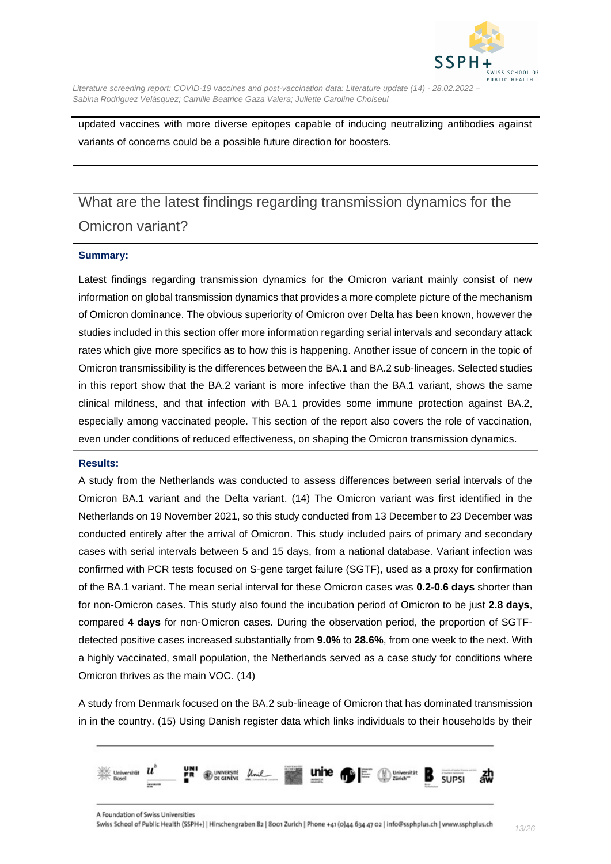

updated vaccines with more diverse epitopes capable of inducing neutralizing antibodies against variants of concerns could be a possible future direction for boosters.

## <span id="page-12-0"></span>What are the latest findings regarding transmission dynamics for the Omicron variant?

#### **Summary:**

Latest findings regarding transmission dynamics for the Omicron variant mainly consist of new information on global transmission dynamics that provides a more complete picture of the mechanism of Omicron dominance. The obvious superiority of Omicron over Delta has been known, however the studies included in this section offer more information regarding serial intervals and secondary attack rates which give more specifics as to how this is happening. Another issue of concern in the topic of Omicron transmissibility is the differences between the BA.1 and BA.2 sub-lineages. Selected studies in this report show that the BA.2 variant is more infective than the BA.1 variant, shows the same clinical mildness, and that infection with BA.1 provides some immune protection against BA.2, especially among vaccinated people. This section of the report also covers the role of vaccination, even under conditions of reduced effectiveness, on shaping the Omicron transmission dynamics.

#### **Results:**

A study from the Netherlands was conducted to assess differences between serial intervals of the Omicron BA.1 variant and the Delta variant. [\(14\)](#page-24-2) The Omicron variant was first identified in the Netherlands on 19 November 2021, so this study conducted from 13 December to 23 December was conducted entirely after the arrival of Omicron. This study included pairs of primary and secondary cases with serial intervals between 5 and 15 days, from a national database. Variant infection was confirmed with PCR tests focused on S-gene target failure (SGTF), used as a proxy for confirmation of the BA.1 variant. The mean serial interval for these Omicron cases was **0.2-0.6 days** shorter than for non-Omicron cases. This study also found the incubation period of Omicron to be just **2.8 days**, compared **4 days** for non-Omicron cases. During the observation period, the proportion of SGTFdetected positive cases increased substantially from **9.0%** to **28.6%**, from one week to the next. With a highly vaccinated, small population, the Netherlands served as a case study for conditions where Omicron thrives as the main VOC. [\(14\)](#page-24-2)

A study from Denmark focused on the BA.2 sub-lineage of Omicron that has dominated transmission in in the country. [\(15\)](#page-24-3) Using Danish register data which links individuals to their households by their

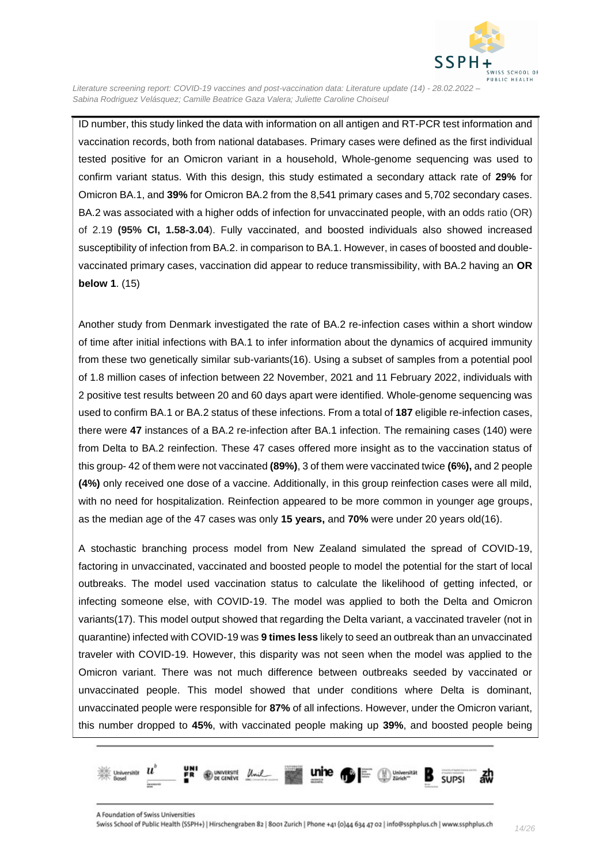

ID number, this study linked the data with information on all antigen and RT-PCR test information and vaccination records, both from national databases. Primary cases were defined as the first individual tested positive for an Omicron variant in a household, Whole-genome sequencing was used to confirm variant status. With this design, this study estimated a secondary attack rate of **29%** for Omicron BA.1, and **39%** for Omicron BA.2 from the 8,541 primary cases and 5,702 secondary cases. BA.2 was associated with a higher odds of infection for unvaccinated people, with an odds ratio (OR) of 2.19 **(95% CI, 1.58-3.04**). Fully vaccinated, and boosted individuals also showed increased susceptibility of infection from BA.2. in comparison to BA.1. However, in cases of boosted and doublevaccinated primary cases, vaccination did appear to reduce transmissibility, with BA.2 having an **OR below 1**. [\(15\)](#page-24-3)

Another study from Denmark investigated the rate of BA.2 re-infection cases within a short window of time after initial infections with BA.1 to infer information about the dynamics of acquired immunity from these two genetically similar sub-variants[\(16\)](#page-24-4). Using a subset of samples from a potential pool of 1.8 million cases of infection between 22 November, 2021 and 11 February 2022, individuals with 2 positive test results between 20 and 60 days apart were identified. Whole-genome sequencing was used to confirm BA.1 or BA.2 status of these infections. From a total of **187** eligible re-infection cases, there were **47** instances of a BA.2 re-infection after BA.1 infection. The remaining cases (140) were from Delta to BA.2 reinfection. These 47 cases offered more insight as to the vaccination status of this group- 42 of them were not vaccinated **(89%)**, 3 of them were vaccinated twice **(6%),** and 2 people **(4%)** only received one dose of a vaccine. Additionally, in this group reinfection cases were all mild, with no need for hospitalization. Reinfection appeared to be more common in younger age groups, as the median age of the 47 cases was only **15 years,** and **70%** were under 20 years old[\(16\)](#page-24-4).

A stochastic branching process model from New Zealand simulated the spread of COVID-19, factoring in unvaccinated, vaccinated and boosted people to model the potential for the start of local outbreaks. The model used vaccination status to calculate the likelihood of getting infected, or infecting someone else, with COVID-19. The model was applied to both the Delta and Omicron variants[\(17\)](#page-24-5). This model output showed that regarding the Delta variant, a vaccinated traveler (not in quarantine) infected with COVID-19 was **9 times less** likely to seed an outbreak than an unvaccinated traveler with COVID-19. However, this disparity was not seen when the model was applied to the Omicron variant. There was not much difference between outbreaks seeded by vaccinated or unvaccinated people. This model showed that under conditions where Delta is dominant, unvaccinated people were responsible for **87%** of all infections. However, under the Omicron variant, this number dropped to **45%**, with vaccinated people making up **39%**, and boosted people being

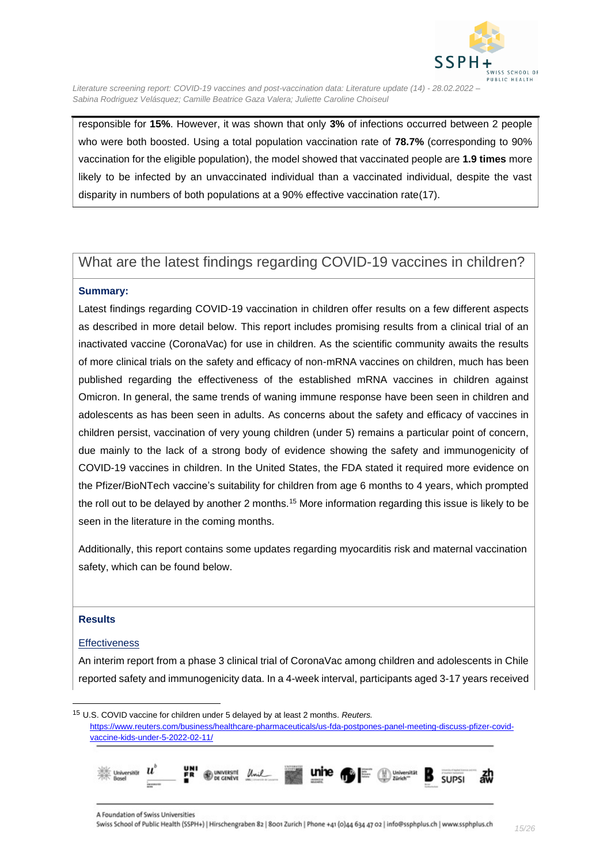

responsible for **15%**. However, it was shown that only **3%** of infections occurred between 2 people who were both boosted. Using a total population vaccination rate of **78.7%** (corresponding to 90% vaccination for the eligible population), the model showed that vaccinated people are **1.9 times** more likely to be infected by an unvaccinated individual than a vaccinated individual, despite the vast disparity in numbers of both populations at a 90% effective vaccination rate[\(17\)](#page-24-5).

### <span id="page-14-0"></span>What are the latest findings regarding COVID-19 vaccines in children?

#### **Summary:**

Latest findings regarding COVID-19 vaccination in children offer results on a few different aspects as described in more detail below. This report includes promising results from a clinical trial of an inactivated vaccine (CoronaVac) for use in children. As the scientific community awaits the results of more clinical trials on the safety and efficacy of non-mRNA vaccines on children, much has been published regarding the effectiveness of the established mRNA vaccines in children against Omicron. In general, the same trends of waning immune response have been seen in children and adolescents as has been seen in adults. As concerns about the safety and efficacy of vaccines in children persist, vaccination of very young children (under 5) remains a particular point of concern, due mainly to the lack of a strong body of evidence showing the safety and immunogenicity of COVID-19 vaccines in children. In the United States, the FDA stated it required more evidence on the Pfizer/BioNTech vaccine's suitability for children from age 6 months to 4 years, which prompted the roll out to be delayed by another 2 months.<sup>15</sup> More information regarding this issue is likely to be seen in the literature in the coming months.

Additionally, this report contains some updates regarding myocarditis risk and maternal vaccination safety, which can be found below.

#### **Results**

#### <span id="page-14-1"></span>**Effectiveness**

An interim report from a phase 3 clinical trial of CoronaVac among children and adolescents in Chile reported safety and immunogenicity data. In a 4-week interval, participants aged 3-17 years received

<sup>15</sup> U.S. COVID vaccine for children under 5 delayed by at least 2 months. *Reuters.*  [https://www.reuters.com/business/healthcare-pharmaceuticals/us-fda-postpones-panel-meeting-discuss-pfizer-covid](https://www.reuters.com/business/healthcare-pharmaceuticals/us-fda-postpones-panel-meeting-discuss-pfizer-covid-vaccine-kids-under-5-2022-02-11/)[vaccine-kids-under-5-2022-02-11/](https://www.reuters.com/business/healthcare-pharmaceuticals/us-fda-postpones-panel-meeting-discuss-pfizer-covid-vaccine-kids-under-5-2022-02-11/)

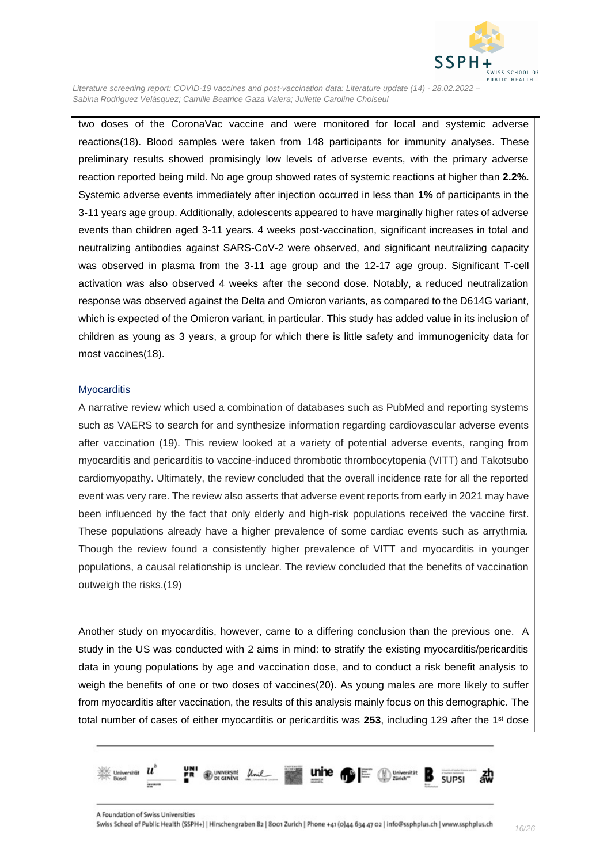

two doses of the CoronaVac vaccine and were monitored for local and systemic adverse reactions[\(18\)](#page-24-6). Blood samples were taken from 148 participants for immunity analyses. These preliminary results showed promisingly low levels of adverse events, with the primary adverse reaction reported being mild. No age group showed rates of systemic reactions at higher than **2.2%.** Systemic adverse events immediately after injection occurred in less than **1%** of participants in the 3-11 years age group. Additionally, adolescents appeared to have marginally higher rates of adverse events than children aged 3-11 years. 4 weeks post-vaccination, significant increases in total and neutralizing antibodies against SARS-CoV-2 were observed, and significant neutralizing capacity was observed in plasma from the 3-11 age group and the 12-17 age group. Significant T-cell activation was also observed 4 weeks after the second dose. Notably, a reduced neutralization response was observed against the Delta and Omicron variants, as compared to the D614G variant, which is expected of the Omicron variant, in particular. This study has added value in its inclusion of children as young as 3 years, a group for which there is little safety and immunogenicity data for most vaccines[\(18\)](#page-24-6).

#### <span id="page-15-0"></span>**Myocarditis**

A narrative review which used a combination of databases such as PubMed and reporting systems such as VAERS to search for and synthesize information regarding cardiovascular adverse events after vaccination [\(19\)](#page-24-7). This review looked at a variety of potential adverse events, ranging from myocarditis and pericarditis to vaccine-induced thrombotic thrombocytopenia (VITT) and Takotsubo cardiomyopathy. Ultimately, the review concluded that the overall incidence rate for all the reported event was very rare. The review also asserts that adverse event reports from early in 2021 may have been influenced by the fact that only elderly and high-risk populations received the vaccine first. These populations already have a higher prevalence of some cardiac events such as arrythmia. Though the review found a consistently higher prevalence of VITT and myocarditis in younger populations, a causal relationship is unclear. The review concluded that the benefits of vaccination outweigh the risks.[\(19\)](#page-24-7)

Another study on myocarditis, however, came to a differing conclusion than the previous one. A study in the US was conducted with 2 aims in mind: to stratify the existing myocarditis/pericarditis data in young populations by age and vaccination dose, and to conduct a risk benefit analysis to weigh the benefits of one or two doses of vaccines[\(20\)](#page-24-8). As young males are more likely to suffer from myocarditis after vaccination, the results of this analysis mainly focus on this demographic. The total number of cases of either myocarditis or pericarditis was **253**, including 129 after the 1st dose

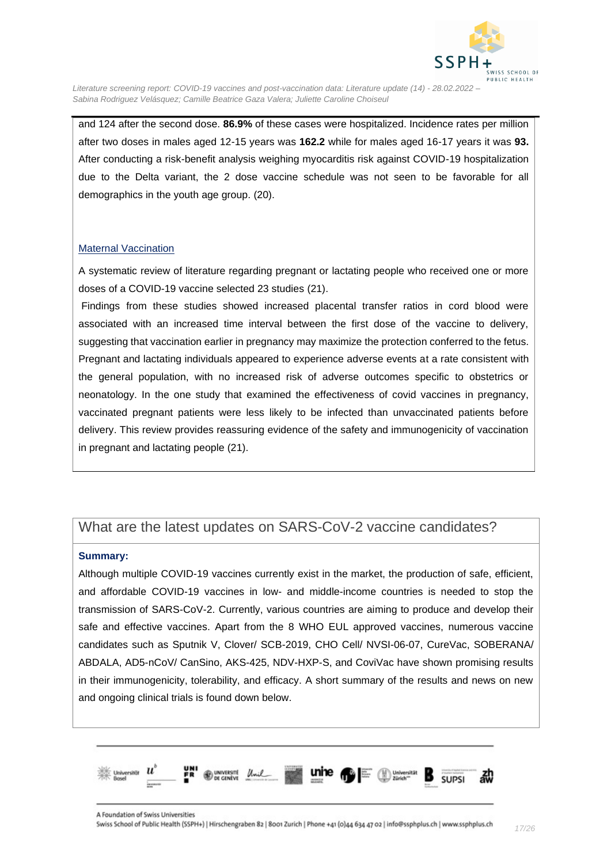

and 124 after the second dose. **86.9%** of these cases were hospitalized. Incidence rates per million after two doses in males aged 12-15 years was **162.2** while for males aged 16-17 years it was **93.** After conducting a risk-benefit analysis weighing myocarditis risk against COVID-19 hospitalization due to the Delta variant, the 2 dose vaccine schedule was not seen to be favorable for all demographics in the youth age group. [\(20\)](#page-24-8).

#### Maternal Vaccination

A systematic review of literature regarding pregnant or lactating people who received one or more doses of a COVID-19 vaccine selected 23 studies [\(21\)](#page-24-9).

Findings from these studies showed increased placental transfer ratios in cord blood were associated with an increased time interval between the first dose of the vaccine to delivery, suggesting that vaccination earlier in pregnancy may maximize the protection conferred to the fetus. Pregnant and lactating individuals appeared to experience adverse events at a rate consistent with the general population, with no increased risk of adverse outcomes specific to obstetrics or neonatology. In the one study that examined the effectiveness of covid vaccines in pregnancy, vaccinated pregnant patients were less likely to be infected than unvaccinated patients before delivery. This review provides reassuring evidence of the safety and immunogenicity of vaccination in pregnant and lactating people [\(21\)](#page-24-9).

### <span id="page-16-0"></span>What are the latest updates on SARS-CoV-2 vaccine candidates?

#### **Summary:**

Although multiple COVID-19 vaccines currently exist in the market, the production of safe, efficient, and affordable COVID-19 vaccines in low- and middle-income countries is needed to stop the transmission of SARS-CoV-2. Currently, various countries are aiming to produce and develop their safe and effective vaccines. Apart from the 8 WHO EUL approved vaccines, numerous vaccine candidates such as Sputnik V, Clover/ SCB-2019, CHO Cell/ NVSI-06-07, CureVac, SOBERANA/ ABDALA, AD5-nCoV/ CanSino, AKS-425, NDV-HXP-S, and CoviVac have shown promising results in their immunogenicity, tolerability, and efficacy. A short summary of the results and news on new and ongoing clinical trials is found down below.

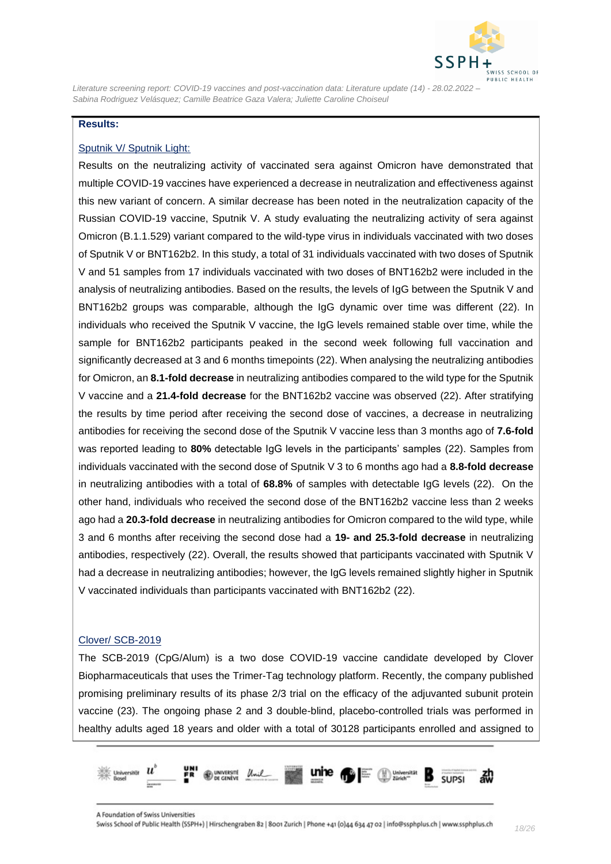

#### **Results:**

#### <span id="page-17-0"></span>Sputnik V/ Sputnik Light:

Results on the neutralizing activity of vaccinated sera against Omicron have demonstrated that multiple COVID-19 vaccines have experienced a decrease in neutralization and effectiveness against this new variant of concern. A similar decrease has been noted in the neutralization capacity of the Russian COVID-19 vaccine, Sputnik V. A study evaluating the neutralizing activity of sera against Omicron (B.1.1.529) variant compared to the wild-type virus in individuals vaccinated with two doses of Sputnik V or BNT162b2. In this study, a total of 31 individuals vaccinated with two doses of Sputnik V and 51 samples from 17 individuals vaccinated with two doses of BNT162b2 were included in the analysis of neutralizing antibodies. Based on the results, the levels of IgG between the Sputnik V and BNT162b2 groups was comparable, although the IgG dynamic over time was different [\(22\)](#page-24-10). In individuals who received the Sputnik V vaccine, the IgG levels remained stable over time, while the sample for BNT162b2 participants peaked in the second week following full vaccination and significantly decreased at 3 and 6 months timepoints [\(22\)](#page-24-10). When analysing the neutralizing antibodies for Omicron, an **8.1-fold decrease** in neutralizing antibodies compared to the wild type for the Sputnik V vaccine and a **21.4-fold decrease** for the BNT162b2 vaccine was observed [\(22\)](#page-24-10). After stratifying the results by time period after receiving the second dose of vaccines, a decrease in neutralizing antibodies for receiving the second dose of the Sputnik V vaccine less than 3 months ago of **7.6-fold** was reported leading to **80%** detectable IgG levels in the participants' samples [\(22\)](#page-24-10). Samples from individuals vaccinated with the second dose of Sputnik V 3 to 6 months ago had a **8.8-fold decrease** in neutralizing antibodies with a total of **68.8%** of samples with detectable IgG levels [\(22\)](#page-24-10). On the other hand, individuals who received the second dose of the BNT162b2 vaccine less than 2 weeks ago had a **20.3-fold decrease** in neutralizing antibodies for Omicron compared to the wild type, while 3 and 6 months after receiving the second dose had a **19- and 25.3-fold decrease** in neutralizing antibodies, respectively [\(22\)](#page-24-10). Overall, the results showed that participants vaccinated with Sputnik V had a decrease in neutralizing antibodies; however, the IgG levels remained slightly higher in Sputnik V vaccinated individuals than participants vaccinated with BNT162b2 [\(22\)](#page-24-10).

#### <span id="page-17-1"></span>Clover/ SCB-2019

The SCB-2019 (CpG/Alum) is a two dose COVID-19 vaccine candidate developed by Clover Biopharmaceuticals that uses the Trimer-Tag technology platform. Recently, the company published promising preliminary results of its phase 2/3 trial on the efficacy of the adjuvanted subunit protein vaccine [\(23\)](#page-24-11). The ongoing phase 2 and 3 double-blind, placebo-controlled trials was performed in healthy adults aged 18 years and older with a total of 30128 participants enrolled and assigned to

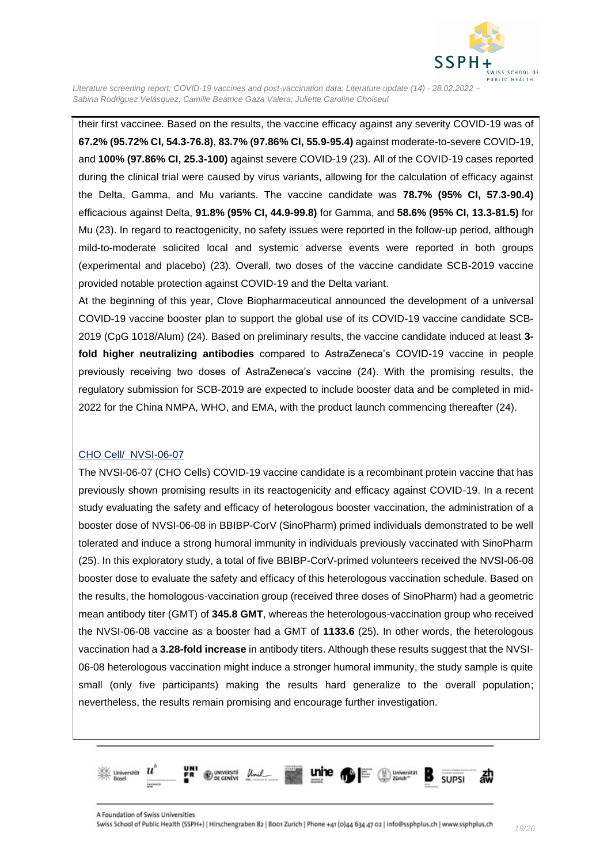

their first vaccinee. Based on the results, the vaccine efficacy against any severity COVID-19 was of **67.2% (95.72% CI, 54.3-76.8)**, **83.7% (97.86% CI, 55.9-95.4)** against moderate-to-severe COVID-19, and **100% (97.86% CI, 25.3-100)** against severe COVID-19 [\(23\)](#page-24-11). All of the COVID-19 cases reported during the clinical trial were caused by virus variants, allowing for the calculation of efficacy against the Delta, Gamma, and Mu variants. The vaccine candidate was **78.7% (95% CI, 57.3-90.4)**  efficacious against Delta, **91.8% (95% CI, 44.9-99.8)** for Gamma, and **58.6% (95% CI, 13.3-81.5)** for Mu [\(23\)](#page-24-11). In regard to reactogenicity, no safety issues were reported in the follow-up period, although mild-to-moderate solicited local and systemic adverse events were reported in both groups (experimental and placebo) [\(23\)](#page-24-11). Overall, two doses of the vaccine candidate SCB-2019 vaccine provided notable protection against COVID-19 and the Delta variant.

At the beginning of this year, Clove Biopharmaceutical announced the development of a universal COVID-19 vaccine booster plan to support the global use of its COVID-19 vaccine candidate SCB-2019 (CpG 1018/Alum) [\(24\)](#page-24-12). Based on preliminary results, the vaccine candidate induced at least **3 fold higher neutralizing antibodies** compared to AstraZeneca's COVID-19 vaccine in people previously receiving two doses of AstraZeneca's vaccine [\(24\)](#page-24-12). With the promising results, the regulatory submission for SCB-2019 are expected to include booster data and be completed in mid-2022 for the China NMPA, WHO, and EMA, with the product launch commencing thereafter [\(24\)](#page-24-12).

#### <span id="page-18-0"></span>CHO Cell/ NVSI-06-07

The NVSI-06-07 (CHO Cells) COVID-19 vaccine candidate is a recombinant protein vaccine that has previously shown promising results in its reactogenicity and efficacy against COVID-19. In a recent study evaluating the safety and efficacy of heterologous booster vaccination, the administration of a booster dose of NVSI-06-08 in BBIBP-CorV (SinoPharm) primed individuals demonstrated to be well tolerated and induce a strong humoral immunity in individuals previously vaccinated with SinoPharm [\(25\)](#page-25-0). In this exploratory study, a total of five BBIBP-CorV-primed volunteers received the NVSI-06-08 booster dose to evaluate the safety and efficacy of this heterologous vaccination schedule. Based on the results, the homologous-vaccination group (received three doses of SinoPharm) had a geometric mean antibody titer (GMT) of **345.8 GMT**, whereas the heterologous-vaccination group who received the NVSI-06-08 vaccine as a booster had a GMT of **1133.6** [\(25\)](#page-25-0). In other words, the heterologous vaccination had a **3.28-fold increase** in antibody titers. Although these results suggest that the NVSI-06-08 heterologous vaccination might induce a stronger humoral immunity, the study sample is quite small (only five participants) making the results hard generalize to the overall population; nevertheless, the results remain promising and encourage further investigation.

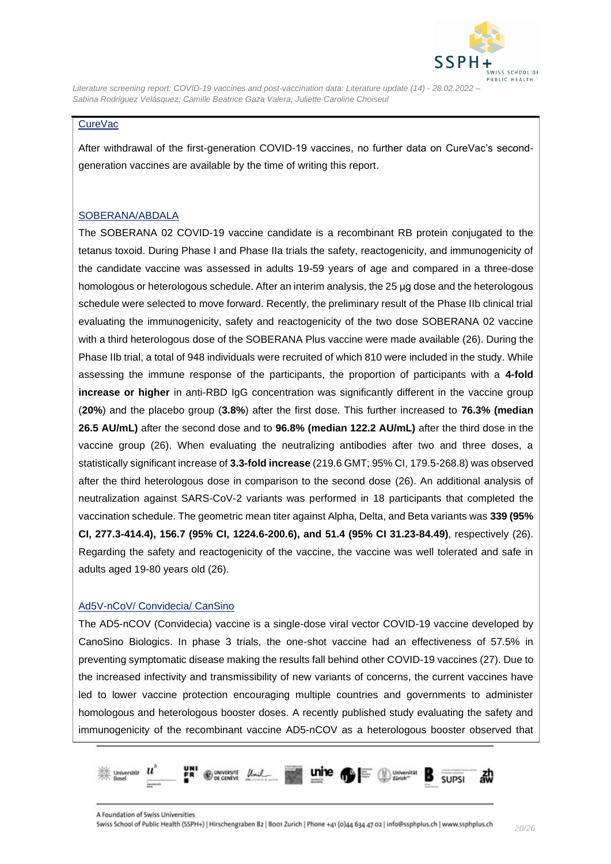

#### <span id="page-19-0"></span>CureVac

After withdrawal of the first-generation COVID-19 vaccines, no further data on CureVac's secondgeneration vaccines are available by the time of writing this report.

#### <span id="page-19-1"></span>SOBERANA/ABDALA

The SOBERANA 02 COVID-19 vaccine candidate is a recombinant RB protein conjugated to the tetanus toxoid. During Phase I and Phase IIa trials the safety, reactogenicity, and immunogenicity of the candidate vaccine was assessed in adults 19-59 years of age and compared in a three-dose homologous or heterologous schedule. After an interim analysis, the 25 μg dose and the heterologous schedule were selected to move forward. Recently, the preliminary result of the Phase IIb clinical trial evaluating the immunogenicity, safety and reactogenicity of the two dose SOBERANA 02 vaccine with a third heterologous dose of the SOBERANA Plus vaccine were made available [\(26\)](#page-25-1). During the Phase IIb trial, a total of 948 individuals were recruited of which 810 were included in the study. While assessing the immune response of the participants, the proportion of participants with a **4-fold increase or higher** in anti-RBD IgG concentration was significantly different in the vaccine group (**20%**) and the placebo group (**3.8%**) after the first dose. This further increased to **76.3% (median 26.5 AU/mL)** after the second dose and to **96.8% (median 122.2 AU/mL)** after the third dose in the vaccine group [\(26\)](#page-25-1). When evaluating the neutralizing antibodies after two and three doses, a statistically significant increase of **3.3-fold increase** (219.6 GMT; 95% CI, 179.5-268.8) was observed after the third heterologous dose in comparison to the second dose [\(26\)](#page-25-1). An additional analysis of neutralization against SARS-CoV-2 variants was performed in 18 participants that completed the vaccination schedule. The geometric mean titer against Alpha, Delta, and Beta variants was **339 (95% CI, 277.3-414.4), 156.7 (95% CI, 1224.6-200.6), and 51.4 (95% CI 31.23-84.49)**, respectively [\(26\)](#page-25-1). Regarding the safety and reactogenicity of the vaccine, the vaccine was well tolerated and safe in adults aged 19-80 years old [\(26\)](#page-25-1).

#### <span id="page-19-2"></span>Ad5V-nCoV/ Convidecia/ CanSino

The AD5-nCOV (Convidecia) vaccine is a single-dose viral vector COVID-19 vaccine developed by CanoSino Biologics. In phase 3 trials, the one-shot vaccine had an effectiveness of 57.5% in preventing symptomatic disease making the results fall behind other COVID-19 vaccines [\(27\)](#page-25-2). Due to the increased infectivity and transmissibility of new variants of concerns, the current vaccines have led to lower vaccine protection encouraging multiple countries and governments to administer homologous and heterologous booster doses. A recently published study evaluating the safety and immunogenicity of the recombinant vaccine AD5-nCOV as a heterologous booster observed that

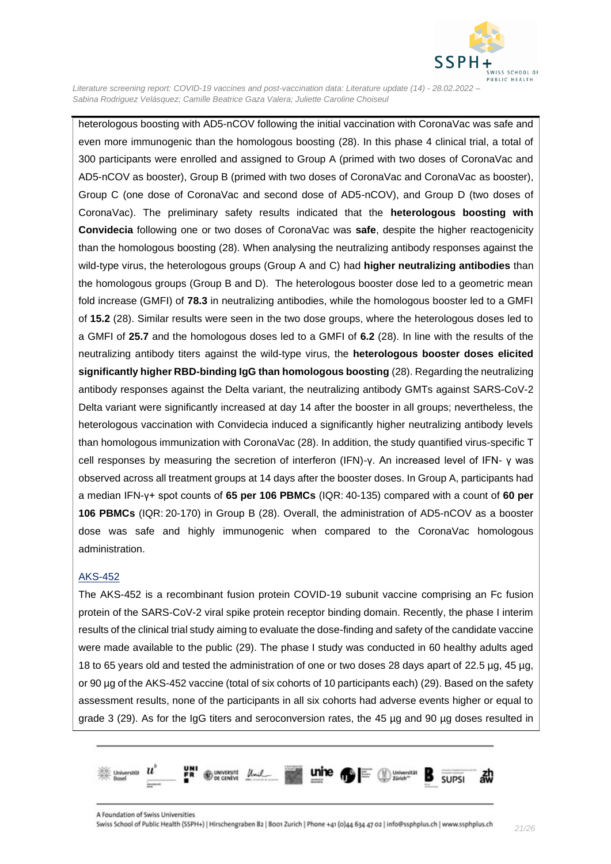

heterologous boosting with AD5-nCOV following the initial vaccination with CoronaVac was safe and even more immunogenic than the homologous boosting [\(28\)](#page-25-3). In this phase 4 clinical trial, a total of 300 participants were enrolled and assigned to Group A (primed with two doses of CoronaVac and AD5-nCOV as booster), Group B (primed with two doses of CoronaVac and CoronaVac as booster), Group C (one dose of CoronaVac and second dose of AD5-nCOV), and Group D (two doses of CoronaVac). The preliminary safety results indicated that the **heterologous boosting with Convidecia** following one or two doses of CoronaVac was **safe**, despite the higher reactogenicity than the homologous boosting [\(28\)](#page-25-3). When analysing the neutralizing antibody responses against the wild-type virus, the heterologous groups (Group A and C) had **higher neutralizing antibodies** than the homologous groups (Group B and D). The heterologous booster dose led to a geometric mean fold increase (GMFI) of **78.3** in neutralizing antibodies, while the homologous booster led to a GMFI of **15.2** [\(28\)](#page-25-3). Similar results were seen in the two dose groups, where the heterologous doses led to a GMFI of **25.7** and the homologous doses led to a GMFI of **6.2** [\(28\)](#page-25-3). In line with the results of the neutralizing antibody titers against the wild-type virus, the **heterologous booster doses elicited significantly higher RBD-binding IgG than homologous boosting** [\(28\)](#page-25-3). Regarding the neutralizing antibody responses against the Delta variant, the neutralizing antibody GMTs against SARS-CoV-2 Delta variant were significantly increased at day 14 after the booster in all groups; nevertheless, the heterologous vaccination with Convidecia induced a significantly higher neutralizing antibody levels than homologous immunization with CoronaVac [\(28\)](#page-25-3). In addition, the study quantified virus-specific T cell responses by measuring the secretion of interferon (IFN)-γ. An increased level of IFN- γ was observed across all treatment groups at 14 days after the booster doses. In Group A, participants had a median IFN-γ+ spot counts of **65 per 106 PBMCs** (IQR: 40-135) compared with a count of **60 per 106 PBMCs** (IQR: 20-170) in Group B [\(28\)](#page-25-3). Overall, the administration of AD5-nCOV as a booster dose was safe and highly immunogenic when compared to the CoronaVac homologous administration.

#### <span id="page-20-0"></span>AKS-452

The AKS-452 is a recombinant fusion protein COVID-19 subunit vaccine comprising an Fc fusion protein of the SARS-CoV-2 viral spike protein receptor binding domain. Recently, the phase I interim results of the clinical trial study aiming to evaluate the dose-finding and safety of the candidate vaccine were made available to the public [\(29\)](#page-25-4). The phase I study was conducted in 60 healthy adults aged 18 to 65 years old and tested the administration of one or two doses 28 days apart of 22.5 µg, 45 µg, or 90 µg of the AKS-452 vaccine (total of six cohorts of 10 participants each) [\(29\)](#page-25-4). Based on the safety assessment results, none of the participants in all six cohorts had adverse events higher or equal to grade 3 [\(29\)](#page-25-4). As for the IgG titers and seroconversion rates, the 45 µg and 90 µg doses resulted in

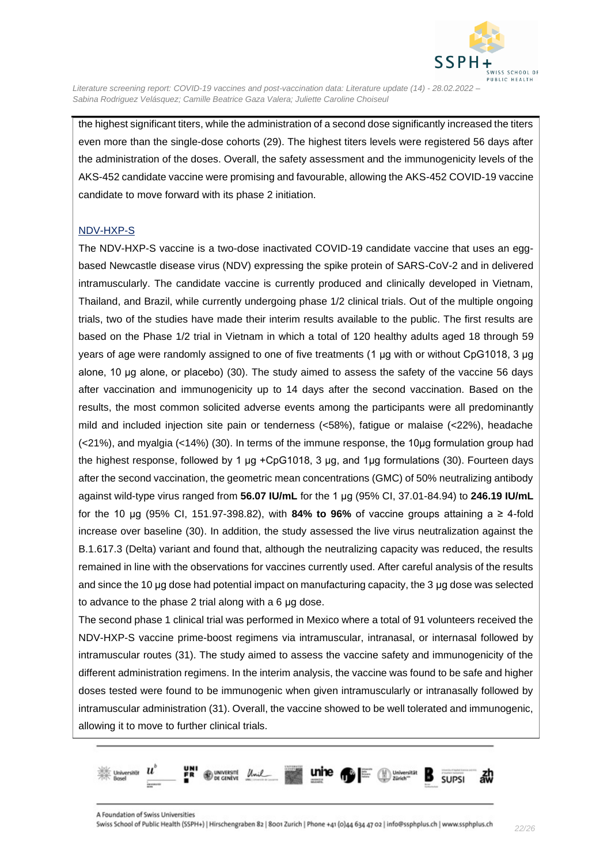

the highest significant titers, while the administration of a second dose significantly increased the titers even more than the single-dose cohorts [\(29\)](#page-25-4). The highest titers levels were registered 56 days after the administration of the doses. Overall, the safety assessment and the immunogenicity levels of the AKS-452 candidate vaccine were promising and favourable, allowing the AKS-452 COVID-19 vaccine candidate to move forward with its phase 2 initiation.

#### <span id="page-21-0"></span>NDV-HXP-S

The NDV-HXP-S vaccine is a two-dose inactivated COVID-19 candidate vaccine that uses an eggbased Newcastle disease virus (NDV) expressing the spike protein of SARS-CoV-2 and in delivered intramuscularly. The candidate vaccine is currently produced and clinically developed in Vietnam, Thailand, and Brazil, while currently undergoing phase 1/2 clinical trials. Out of the multiple ongoing trials, two of the studies have made their interim results available to the public. The first results are based on the Phase 1/2 trial in Vietnam in which a total of 120 healthy adults aged 18 through 59 years of age were randomly assigned to one of five treatments (1 μg with or without CpG1018, 3 μg alone, 10 μg alone, or placebo) [\(30\)](#page-25-5). The study aimed to assess the safety of the vaccine 56 days after vaccination and immunogenicity up to 14 days after the second vaccination. Based on the results, the most common solicited adverse events among the participants were all predominantly mild and included injection site pain or tenderness (<58%), fatigue or malaise (<22%), headache (<21%), and myalgia (<14%) [\(30\)](#page-25-5). In terms of the immune response, the 10μg formulation group had the highest response, followed by 1 μg +CpG1018, 3 μg, and 1μg formulations [\(30\)](#page-25-5). Fourteen days after the second vaccination, the geometric mean concentrations (GMC) of 50% neutralizing antibody against wild-type virus ranged from **56.07 IU/mL** for the 1 μg (95% CI, 37.01-84.94) to **246.19 IU/mL** for the 10 μg (95% CI, 151.97-398.82), with **84% to 96%** of vaccine groups attaining a ≥ 4-fold increase over baseline [\(30\)](#page-25-5). In addition, the study assessed the live virus neutralization against the B.1.617.3 (Delta) variant and found that, although the neutralizing capacity was reduced, the results remained in line with the observations for vaccines currently used. After careful analysis of the results and since the 10 μg dose had potential impact on manufacturing capacity, the 3 μg dose was selected to advance to the phase 2 trial along with a 6 μg dose.

The second phase 1 clinical trial was performed in Mexico where a total of 91 volunteers received the NDV-HXP-S vaccine prime-boost regimens via intramuscular, intranasal, or internasal followed by intramuscular routes [\(31\)](#page-25-6). The study aimed to assess the vaccine safety and immunogenicity of the different administration regimens. In the interim analysis, the vaccine was found to be safe and higher doses tested were found to be immunogenic when given intramuscularly or intranasally followed by intramuscular administration [\(31\)](#page-25-6). Overall, the vaccine showed to be well tolerated and immunogenic, allowing it to move to further clinical trials.

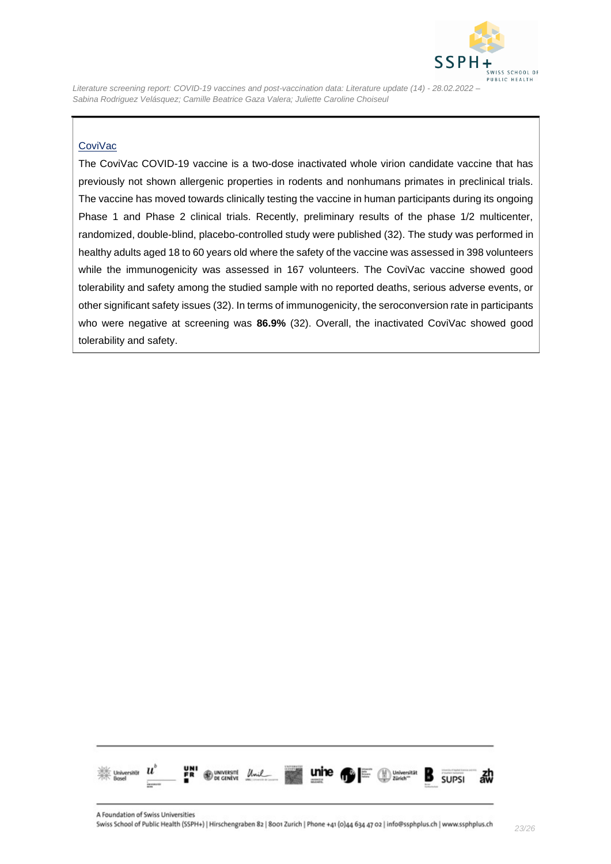

#### <span id="page-22-0"></span>**CoviVac**

The CoviVac COVID-19 vaccine is a two-dose inactivated whole virion candidate vaccine that has previously not shown allergenic properties in rodents and nonhumans primates in preclinical trials. The vaccine has moved towards clinically testing the vaccine in human participants during its ongoing Phase 1 and Phase 2 clinical trials. Recently, preliminary results of the phase 1/2 multicenter, randomized, double-blind, placebo-controlled study were published [\(32\)](#page-25-7). The study was performed in healthy adults aged 18 to 60 years old where the safety of the vaccine was assessed in 398 volunteers while the immunogenicity was assessed in 167 volunteers. The CoviVac vaccine showed good tolerability and safety among the studied sample with no reported deaths, serious adverse events, or other significant safety issues [\(32\)](#page-25-7). In terms of immunogenicity, the seroconversion rate in participants who were negative at screening was **86.9%** [\(32\)](#page-25-7). Overall, the inactivated CoviVac showed good tolerability and safety.

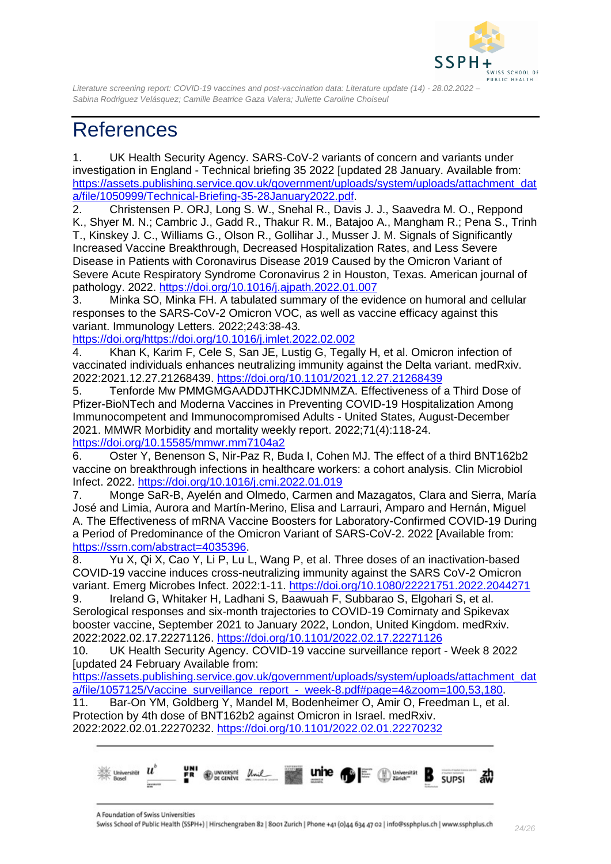

# <span id="page-23-0"></span>**References**

<span id="page-23-1"></span>1. UK Health Security Agency. SARS-CoV-2 variants of concern and variants under investigation in England - Technical briefing 35 2022 [updated 28 January. Available from: [https://assets.publishing.service.gov.uk/government/uploads/system/uploads/attachment\\_dat](https://assets.publishing.service.gov.uk/government/uploads/system/uploads/attachment_data/file/1050999/Technical-Briefing-35-28January2022.pdf) [a/file/1050999/Technical-Briefing-35-28January2022.pdf.](https://assets.publishing.service.gov.uk/government/uploads/system/uploads/attachment_data/file/1050999/Technical-Briefing-35-28January2022.pdf)

<span id="page-23-2"></span>2. Christensen P. ORJ, Long S. W., Snehal R., Davis J. J., Saavedra M. O., Reppond K., Shyer M. N.; Cambric J., Gadd R., Thakur R. M., Batajoo A., Mangham R.; Pena S., Trinh T., Kinskey J. C., Williams G., Olson R., Gollihar J., Musser J. M. Signals of Significantly Increased Vaccine Breakthrough, Decreased Hospitalization Rates, and Less Severe Disease in Patients with Coronavirus Disease 2019 Caused by the Omicron Variant of Severe Acute Respiratory Syndrome Coronavirus 2 in Houston, Texas. American journal of pathology. 2022.<https://doi.org/10.1016/j.ajpath.2022.01.007>

<span id="page-23-3"></span>3. Minka SO, Minka FH. A tabulated summary of the evidence on humoral and cellular responses to the SARS-CoV-2 Omicron VOC, as well as vaccine efficacy against this variant. Immunology Letters. 2022;243:38-43.

[https://doi.org/https://doi.org/10.1016/j.imlet.2022.02.002](https://doi.org/https:/doi.org/10.1016/j.imlet.2022.02.002)

<span id="page-23-4"></span>4. Khan K, Karim F, Cele S, San JE, Lustig G, Tegally H, et al. Omicron infection of vaccinated individuals enhances neutralizing immunity against the Delta variant. medRxiv. 2022:2021.12.27.21268439.<https://doi.org/10.1101/2021.12.27.21268439>

<span id="page-23-5"></span>5. Tenforde Mw PMMGMGAADDJTHKCJDMNMZA. Effectiveness of a Third Dose of Pfizer-BioNTech and Moderna Vaccines in Preventing COVID-19 Hospitalization Among Immunocompetent and Immunocompromised Adults - United States, August-December 2021. MMWR Morbidity and mortality weekly report. 2022;71(4):118-24. <https://doi.org/10.15585/mmwr.mm7104a2>

<span id="page-23-6"></span>6. Oster Y, Benenson S, Nir-Paz R, Buda I, Cohen MJ. The effect of a third BNT162b2 vaccine on breakthrough infections in healthcare workers: a cohort analysis. Clin Microbiol Infect. 2022.<https://doi.org/10.1016/j.cmi.2022.01.019>

<span id="page-23-7"></span>7. Monge SaR-B, Ayelén and Olmedo, Carmen and Mazagatos, Clara and Sierra, María José and Limia, Aurora and Martín-Merino, Elisa and Larrauri, Amparo and Hernán, Miguel A. The Effectiveness of mRNA Vaccine Boosters for Laboratory-Confirmed COVID-19 During a Period of Predominance of the Omicron Variant of SARS-CoV-2. 2022 [Available from: [https://ssrn.com/abstract=4035396.](https://ssrn.com/abstract=4035396)

<span id="page-23-8"></span>8. Yu X, Qi X, Cao Y, Li P, Lu L, Wang P, et al. Three doses of an inactivation-based COVID-19 vaccine induces cross-neutralizing immunity against the SARS CoV-2 Omicron variant. Emerg Microbes Infect. 2022:1-11.<https://doi.org/10.1080/22221751.2022.2044271>

<span id="page-23-9"></span>9. Ireland G, Whitaker H, Ladhani S, Baawuah F, Subbarao S, Elgohari S, et al. Serological responses and six-month trajectories to COVID-19 Comirnaty and Spikevax booster vaccine, September 2021 to January 2022, London, United Kingdom. medRxiv. 2022:2022.02.17.22271126.<https://doi.org/10.1101/2022.02.17.22271126>

<span id="page-23-10"></span>10. UK Health Security Agency. COVID-19 vaccine surveillance report - Week 8 2022 [updated 24 February Available from:

[https://assets.publishing.service.gov.uk/government/uploads/system/uploads/attachment\\_dat](https://assets.publishing.service.gov.uk/government/uploads/system/uploads/attachment_data/file/1057125/Vaccine_surveillance_report_-_week-8.pdf#page=4&zoom=100,53,180) [a/file/1057125/Vaccine\\_surveillance\\_report\\_-\\_week-8.pdf#page=4&zoom=100,53,180.](https://assets.publishing.service.gov.uk/government/uploads/system/uploads/attachment_data/file/1057125/Vaccine_surveillance_report_-_week-8.pdf#page=4&zoom=100,53,180)

<span id="page-23-11"></span>11. Bar-On YM, Goldberg Y, Mandel M, Bodenheimer O, Amir O, Freedman L, et al. Protection by 4th dose of BNT162b2 against Omicron in Israel. medRxiv. 2022:2022.02.01.22270232.<https://doi.org/10.1101/2022.02.01.22270232>

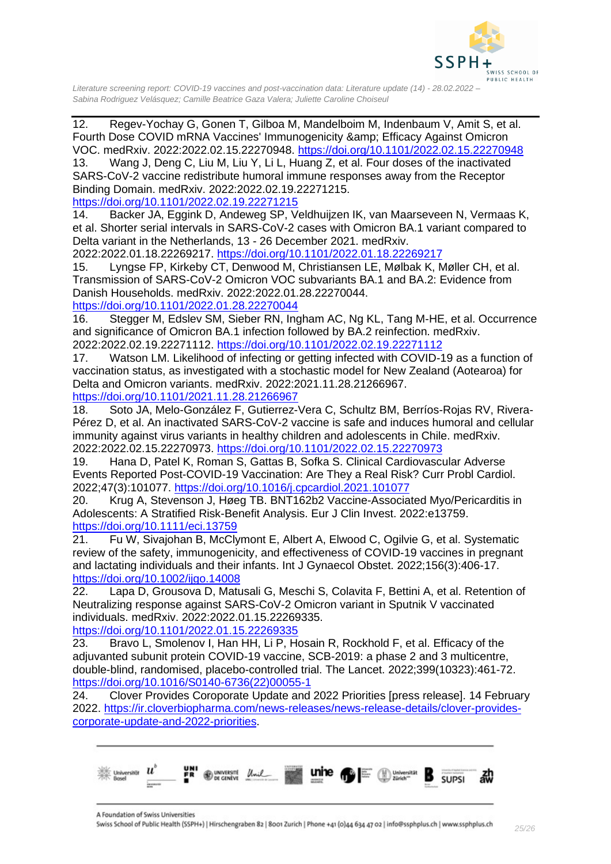

<span id="page-24-0"></span>12. Regev-Yochay G, Gonen T, Gilboa M, Mandelboim M, Indenbaum V, Amit S, et al. Fourth Dose COVID mRNA Vaccines' Immunogenicity & amp; Efficacy Against Omicron VOC. medRxiv. 2022:2022.02.15.22270948.<https://doi.org/10.1101/2022.02.15.22270948>

<span id="page-24-1"></span>13. Wang J, Deng C, Liu M, Liu Y, Li L, Huang Z, et al. Four doses of the inactivated SARS-CoV-2 vaccine redistribute humoral immune responses away from the Receptor Binding Domain. medRxiv. 2022:2022.02.19.22271215.

<https://doi.org/10.1101/2022.02.19.22271215>

<span id="page-24-2"></span>14. Backer JA, Eggink D, Andeweg SP, Veldhuijzen IK, van Maarseveen N, Vermaas K, et al. Shorter serial intervals in SARS-CoV-2 cases with Omicron BA.1 variant compared to Delta variant in the Netherlands, 13 - 26 December 2021. medRxiv.

2022:2022.01.18.22269217.<https://doi.org/10.1101/2022.01.18.22269217>

<span id="page-24-3"></span>15. Lyngse FP, Kirkeby CT, Denwood M, Christiansen LE, Mølbak K, Møller CH, et al. Transmission of SARS-CoV-2 Omicron VOC subvariants BA.1 and BA.2: Evidence from Danish Households. medRxiv. 2022:2022.01.28.22270044.

<https://doi.org/10.1101/2022.01.28.22270044>

<span id="page-24-4"></span>16. Stegger M, Edslev SM, Sieber RN, Ingham AC, Ng KL, Tang M-HE, et al. Occurrence and significance of Omicron BA.1 infection followed by BA.2 reinfection. medRxiv. 2022:2022.02.19.22271112.<https://doi.org/10.1101/2022.02.19.22271112>

<span id="page-24-5"></span>17. Watson LM. Likelihood of infecting or getting infected with COVID-19 as a function of vaccination status, as investigated with a stochastic model for New Zealand (Aotearoa) for Delta and Omicron variants. medRxiv. 2022:2021.11.28.21266967.

<https://doi.org/10.1101/2021.11.28.21266967>

<span id="page-24-6"></span>18. Soto JA, Melo-González F, Gutierrez-Vera C, Schultz BM, Berríos-Rojas RV, Rivera-Pérez D, et al. An inactivated SARS-CoV-2 vaccine is safe and induces humoral and cellular immunity against virus variants in healthy children and adolescents in Chile. medRxiv. 2022:2022.02.15.22270973.<https://doi.org/10.1101/2022.02.15.22270973>

<span id="page-24-7"></span>19. Hana D, Patel K, Roman S, Gattas B, Sofka S. Clinical Cardiovascular Adverse Events Reported Post-COVID-19 Vaccination: Are They a Real Risk? Curr Probl Cardiol. 2022;47(3):101077.<https://doi.org/10.1016/j.cpcardiol.2021.101077>

<span id="page-24-8"></span>20. Krug A, Stevenson J, Høeg TB. BNT162b2 Vaccine-Associated Myo/Pericarditis in Adolescents: A Stratified Risk-Benefit Analysis. Eur J Clin Invest. 2022:e13759. <https://doi.org/10.1111/eci.13759>

<span id="page-24-9"></span>21. Fu W, Sivajohan B, McClymont E, Albert A, Elwood C, Ogilvie G, et al. Systematic review of the safety, immunogenicity, and effectiveness of COVID-19 vaccines in pregnant and lactating individuals and their infants. Int J Gynaecol Obstet. 2022;156(3):406-17. <https://doi.org/10.1002/ijgo.14008>

<span id="page-24-10"></span>22. Lapa D, Grousova D, Matusali G, Meschi S, Colavita F, Bettini A, et al. Retention of Neutralizing response against SARS-CoV-2 Omicron variant in Sputnik V vaccinated individuals. medRxiv. 2022:2022.01.15.22269335.

<https://doi.org/10.1101/2022.01.15.22269335>

<span id="page-24-11"></span>23. Bravo L, Smolenov I, Han HH, Li P, Hosain R, Rockhold F, et al. Efficacy of the adjuvanted subunit protein COVID-19 vaccine, SCB-2019: a phase 2 and 3 multicentre, double-blind, randomised, placebo-controlled trial. The Lancet. 2022;399(10323):461-72. [https://doi.org/10.1016/S0140-6736\(22\)00055-1](https://doi.org/10.1016/S0140-6736(22)00055-1)

<span id="page-24-12"></span>24. Clover Provides Coroporate Update and 2022 Priorities [press release]. 14 February 2022. [https://ir.cloverbiopharma.com/news-releases/news-release-details/clover-provides](https://ir.cloverbiopharma.com/news-releases/news-release-details/clover-provides-corporate-update-and-2022-priorities)[corporate-update-and-2022-priorities.](https://ir.cloverbiopharma.com/news-releases/news-release-details/clover-provides-corporate-update-and-2022-priorities)